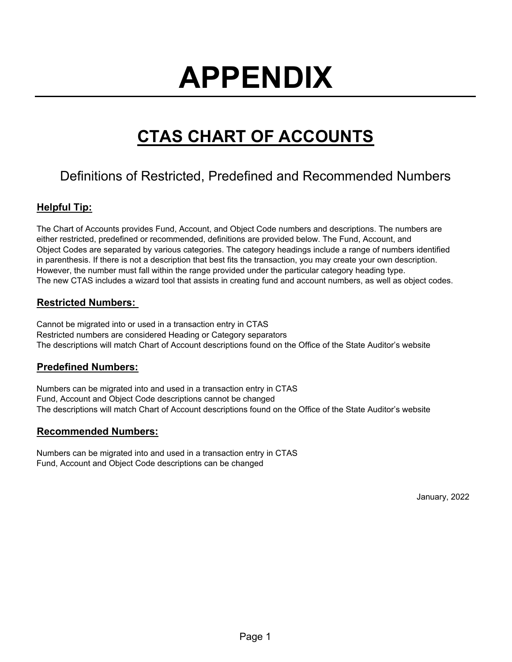# **APPENDIX**

# **CTAS CHART OF ACCOUNTS**

# Definitions of Restricted, Predefined and Recommended Numbers

# **Helpful Tip:**

The Chart of Accounts provides Fund, Account, and Object Code numbers and descriptions. The numbers are either restricted, predefined or recommended, definitions are provided below. The Fund, Account, and Object Codes are separated by various categories. The category headings include a range of numbers identified in parenthesis. If there is not a description that best fits the transaction, you may create your own description. However, the number must fall within the range provided under the particular category heading type. The new CTAS includes a wizard tool that assists in creating fund and account numbers, as well as object codes.

## **Restricted Numbers:**

Cannot be migrated into or used in a transaction entry in CTAS Restricted numbers are considered Heading or Category separators The descriptions will match Chart of Account descriptions found on the Office of the State Auditor's website

## **Predefined Numbers:**

Numbers can be migrated into and used in a transaction entry in CTAS Fund, Account and Object Code descriptions cannot be changed The descriptions will match Chart of Account descriptions found on the Office of the State Auditor's website

## **Recommended Numbers:**

Numbers can be migrated into and used in a transaction entry in CTAS Fund, Account and Object Code descriptions can be changed

January, 2022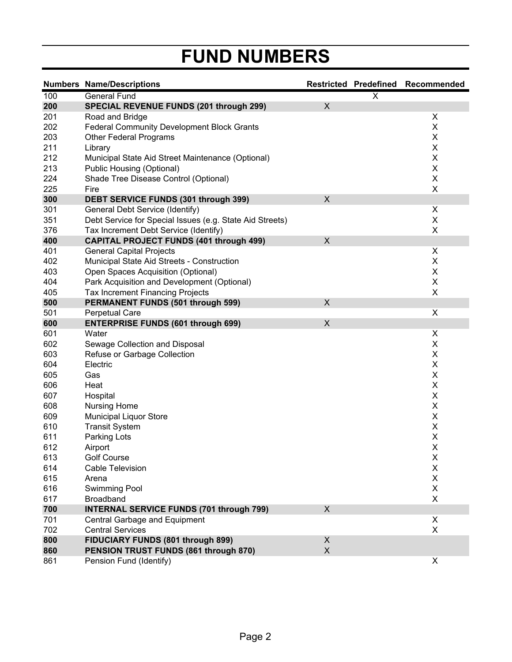# **FUND NUMBERS**

|     | <b>Numbers Name/Descriptions</b>                         |                           |   | Restricted Predefined Recommended |
|-----|----------------------------------------------------------|---------------------------|---|-----------------------------------|
| 100 | General Fund                                             |                           | X |                                   |
| 200 | <b>SPECIAL REVENUE FUNDS (201 through 299)</b>           | X                         |   |                                   |
| 201 | Road and Bridge                                          |                           |   | X                                 |
| 202 | <b>Federal Community Development Block Grants</b>        |                           |   | X                                 |
| 203 | <b>Other Federal Programs</b>                            |                           |   | Χ                                 |
| 211 | Library                                                  |                           |   | Χ                                 |
| 212 | Municipal State Aid Street Maintenance (Optional)        |                           |   | Χ                                 |
| 213 | Public Housing (Optional)                                |                           |   | X                                 |
| 224 | Shade Tree Disease Control (Optional)                    |                           |   | Χ                                 |
| 225 | Fire                                                     |                           |   | X                                 |
| 300 | DEBT SERVICE FUNDS (301 through 399)                     | $\boldsymbol{\mathsf{X}}$ |   |                                   |
| 301 | General Debt Service (Identify)                          |                           |   | Χ                                 |
| 351 | Debt Service for Special Issues (e.g. State Aid Streets) |                           |   | X                                 |
| 376 | Tax Increment Debt Service (Identify)                    |                           |   | X                                 |
| 400 | <b>CAPITAL PROJECT FUNDS (401 through 499)</b>           | X                         |   |                                   |
| 401 | <b>General Capital Projects</b>                          |                           |   | X                                 |
| 402 | Municipal State Aid Streets - Construction               |                           |   | X                                 |
| 403 | Open Spaces Acquisition (Optional)                       |                           |   | $\mathsf X$                       |
| 404 | Park Acquisition and Development (Optional)              |                           |   | $\pmb{\times}$                    |
| 405 | <b>Tax Increment Financing Projects</b>                  |                           |   | $\pmb{\times}$                    |
| 500 | <b>PERMANENT FUNDS (501 through 599)</b>                 | X                         |   |                                   |
| 501 | <b>Perpetual Care</b>                                    |                           |   | X                                 |
| 600 | <b>ENTERPRISE FUNDS (601 through 699)</b>                | $\boldsymbol{\mathsf{X}}$ |   |                                   |
| 601 | Water                                                    |                           |   | X                                 |
| 602 | Sewage Collection and Disposal                           |                           |   | X                                 |
| 603 | Refuse or Garbage Collection                             |                           |   | X                                 |
| 604 | Electric                                                 |                           |   | X                                 |
| 605 | Gas                                                      |                           |   | $\mathsf X$                       |
| 606 | Heat                                                     |                           |   | X                                 |
| 607 | Hospital                                                 |                           |   | X                                 |
| 608 | <b>Nursing Home</b>                                      |                           |   | $\mathsf X$                       |
| 609 | <b>Municipal Liquor Store</b>                            |                           |   | $\mathsf X$                       |
| 610 | <b>Transit System</b>                                    |                           |   | $\pmb{\mathsf{X}}$                |
| 611 | Parking Lots                                             |                           |   | X                                 |
| 612 | Airport                                                  |                           |   | X                                 |
| 613 | <b>Golf Course</b>                                       |                           |   | X                                 |
| 614 | <b>Cable Television</b>                                  |                           |   | X                                 |
| 615 | Arena                                                    |                           |   | X                                 |
| 616 | <b>Swimming Pool</b>                                     |                           |   | X                                 |
| 617 | Broadband                                                |                           |   | X                                 |
| 700 | <b>INTERNAL SERVICE FUNDS (701 through 799)</b>          | X                         |   |                                   |
| 701 | Central Garbage and Equipment                            |                           |   | X                                 |
| 702 | <b>Central Services</b>                                  |                           |   | X                                 |
| 800 | FIDUCIARY FUNDS (801 through 899)                        | X                         |   |                                   |
| 860 | PENSION TRUST FUNDS (861 through 870)                    | $\mathsf{X}$              |   |                                   |
| 861 | Pension Fund (Identify)                                  |                           |   | X                                 |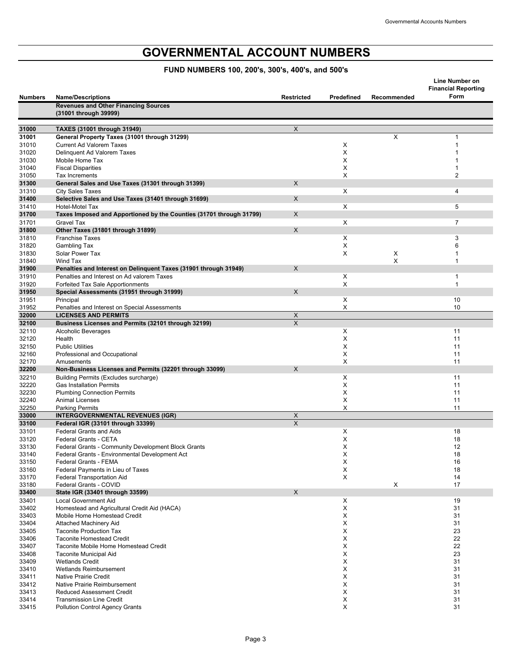# **GOVERNMENTAL ACCOUNT NUMBERS**

## **FUND NUMBERS 100, 200's, 300's, 400's, and 500's**

|                |                                                                                               |                   |            |             | <b>Line Number on</b>              |
|----------------|-----------------------------------------------------------------------------------------------|-------------------|------------|-------------|------------------------------------|
| <b>Numbers</b> | <b>Name/Descriptions</b>                                                                      | <b>Restricted</b> | Predefined | Recommended | <b>Financial Reporting</b><br>Form |
|                | <b>Revenues and Other Financing Sources</b>                                                   |                   |            |             |                                    |
|                | (31001 through 39999)                                                                         |                   |            |             |                                    |
| 31000          | TAXES (31001 through 31949)                                                                   | $\mathsf X$       |            |             |                                    |
| 31001          | General Property Taxes (31001 through 31299)                                                  |                   |            | X           | 1                                  |
| 31010<br>31020 | <b>Current Ad Valorem Taxes</b><br>Delinquent Ad Valorem Taxes                                |                   | х<br>X     |             |                                    |
| 31030          | Mobile Home Tax                                                                               |                   | X          |             |                                    |
| 31040          | <b>Fiscal Disparities</b>                                                                     |                   | X          |             |                                    |
| 31050          | Tax Increments                                                                                |                   | X          |             | 2                                  |
| 31300          | General Sales and Use Taxes (31301 through 31399)                                             | X                 |            |             |                                    |
| 31310          | <b>City Sales Taxes</b>                                                                       |                   | X          |             | 4                                  |
| 31400          | Selective Sales and Use Taxes (31401 through 31699)                                           | $\times$          |            |             |                                    |
| 31410<br>31700 | <b>Hotel-Motel Tax</b><br>Taxes Imposed and Apportioned by the Counties (31701 through 31799) | X                 | X          |             | 5                                  |
| 31701          | <b>Gravel Tax</b>                                                                             |                   | X          |             | $\overline{7}$                     |
| 31800          | Other Taxes (31801 through 31899)                                                             | X                 |            |             |                                    |
| 31810          | <b>Franchise Taxes</b>                                                                        |                   | X          |             | 3                                  |
| 31820          | Gambling Tax                                                                                  |                   | Х          |             | 6                                  |
| 31830          | Solar Power Tax                                                                               |                   | X          | X           |                                    |
| 31840          | Wind Tax                                                                                      |                   |            | X           | 1                                  |
| 31900          | Penalties and Interest on Delinquent Taxes (31901 through 31949)                              | $\times$          |            |             |                                    |
| 31910<br>31920 | Penalties and Interest on Ad valorem Taxes<br>Forfeited Tax Sale Apportionments               |                   | X<br>X     |             | 1<br>$\mathbf{1}$                  |
| 31950          | Special Assessments (31951 through 31999)                                                     | X                 |            |             |                                    |
| 31951          | Principal                                                                                     |                   | X          |             | 10                                 |
| 31952          | Penalties and Interest on Special Assessments                                                 |                   | X          |             | 10                                 |
| 32000          | <b>LICENSES AND PERMITS</b>                                                                   | X                 |            |             |                                    |
| 32100          | Business Licenses and Permits (32101 through 32199)                                           | $\mathsf{X}$      |            |             |                                    |
| 32110          | <b>Alcoholic Beverages</b>                                                                    |                   | Х          |             | 11                                 |
| 32120          | Health<br><b>Public Utilities</b>                                                             |                   | X<br>X     |             | 11<br>11                           |
| 32150<br>32160 | Professional and Occupational                                                                 |                   | X          |             | 11                                 |
| 32170          | Amusements                                                                                    |                   | X          |             | 11                                 |
| 32200          | Non-Business Licenses and Permits (32201 through 33099)                                       | X                 |            |             |                                    |
| 32210          | Building Permits (Excludes surcharge)                                                         |                   | X          |             | 11                                 |
| 32220          | <b>Gas Installation Permits</b>                                                               |                   | X          |             | 11                                 |
| 32230          | <b>Plumbing Connection Permits</b>                                                            |                   | X          |             | 11                                 |
| 32240          | <b>Animal Licenses</b>                                                                        |                   | X          |             | 11                                 |
| 32250<br>33000 | <b>Parking Permits</b><br><b>INTERGOVERNMENTAL REVENUES (IGR)</b>                             | X                 | X          |             | 11                                 |
| 33100          | Federal IGR (33101 through 33399)                                                             | X                 |            |             |                                    |
| 33101          | <b>Federal Grants and Aids</b>                                                                |                   | Х          |             | 18                                 |
| 33120          | Federal Grants - CETA                                                                         |                   | X          |             | 18                                 |
| 33130          | Federal Grants - Community Development Block Grants                                           |                   | X          |             | 12                                 |
| 33140          | Federal Grants - Environmental Development Act                                                |                   | X          |             | 18                                 |
| 33150          | Federal Grants - FEMA                                                                         |                   | X          |             | 16                                 |
| 33160          | Federal Payments in Lieu of Taxes<br>Federal Transportation Aid                               |                   | X<br>X     |             | 18                                 |
| 33170<br>33180 | Federal Grants - COVID                                                                        |                   |            | X           | 14<br>17                           |
| 33400          | State IGR (33401 through 33599)                                                               | X                 |            |             |                                    |
| 33401          | Local Government Aid                                                                          |                   | X          |             | 19                                 |
| 33402          | Homestead and Agricultural Credit Aid (HACA)                                                  |                   | X          |             | 31                                 |
| 33403          | Mobile Home Homestead Credit                                                                  |                   | X          |             | 31                                 |
| 33404          | Attached Machinery Aid                                                                        |                   | X          |             | 31                                 |
| 33405          | <b>Taconite Production Tax</b>                                                                |                   | X          |             | 23                                 |
| 33406<br>33407 | <b>Taconite Homestead Credit</b><br>Taconite Mobile Home Homestead Credit                     |                   | X<br>X     |             | 22<br>22                           |
| 33408          | Taconite Municipal Aid                                                                        |                   | X          |             | 23                                 |
| 33409          | <b>Wetlands Credit</b>                                                                        |                   | X          |             | 31                                 |
| 33410          | Wetlands Reimbursement                                                                        |                   | X          |             | 31                                 |
| 33411          | <b>Native Prairie Credit</b>                                                                  |                   | Х          |             | 31                                 |
| 33412          | Native Prairie Reimbursement                                                                  |                   | X          |             | 31                                 |
| 33413          | <b>Reduced Assessment Credit</b>                                                              |                   | X          |             | 31                                 |
| 33414<br>33415 | <b>Transmission Line Credit</b><br><b>Pollution Control Agency Grants</b>                     |                   | X<br>X     |             | 31<br>31                           |
|                |                                                                                               |                   |            |             |                                    |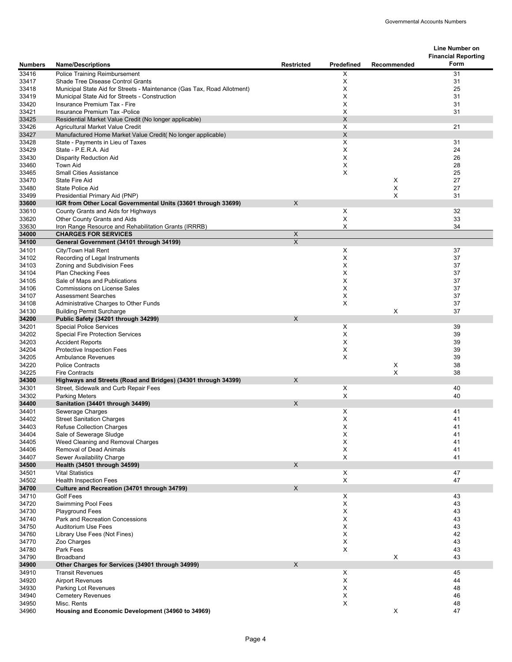|                |                                                                                                                           |                   |                   |             | Line Number on<br><b>Financial Reporting</b> |
|----------------|---------------------------------------------------------------------------------------------------------------------------|-------------------|-------------------|-------------|----------------------------------------------|
| <b>Numbers</b> | <b>Name/Descriptions</b>                                                                                                  | <b>Restricted</b> | <b>Predefined</b> | Recommended | Form                                         |
| 33416          | <b>Police Training Reimbursement</b>                                                                                      |                   | X                 |             | 31                                           |
| 33417          | Shade Tree Disease Control Grants                                                                                         |                   | Χ                 |             | 31                                           |
| 33418<br>33419 | Municipal State Aid for Streets - Maintenance (Gas Tax, Road Allotment)<br>Municipal State Aid for Streets - Construction |                   | Χ<br>X            |             | 25<br>31                                     |
| 33420          | Insurance Premium Tax - Fire                                                                                              |                   | X                 |             | 31                                           |
| 33421          | Insurance Premium Tax -Police                                                                                             |                   | Χ                 |             | 31                                           |
| 33425          | Residential Market Value Credit (No longer applicable)                                                                    |                   | X                 |             |                                              |
| 33426          | Agricultural Market Value Credit                                                                                          |                   | X                 |             | 21                                           |
| 33427          | Manufactured Home Market Value Credit( No longer applicable)                                                              |                   | X                 |             |                                              |
| 33428          | State - Payments in Lieu of Taxes                                                                                         |                   | X                 |             | 31                                           |
| 33429          | State - P.E.R.A. Aid                                                                                                      |                   | X                 |             | 24                                           |
| 33430<br>33460 | <b>Disparity Reduction Aid</b><br><b>Town Aid</b>                                                                         |                   | X<br>X            |             | 26<br>28                                     |
| 33465          | <b>Small Cities Assistance</b>                                                                                            |                   | X                 |             | 25                                           |
| 33470          | <b>State Fire Aid</b>                                                                                                     |                   |                   | X           | 27                                           |
| 33480          | <b>State Police Aid</b>                                                                                                   |                   |                   | X           | 27                                           |
| 33499          | Presidential Primary Aid (PNP)                                                                                            |                   |                   | X           | 31                                           |
| 33600          | IGR from Other Local Governmental Units (33601 through 33699)                                                             | $\mathsf{X}$      |                   |             |                                              |
| 33610          | County Grants and Aids for Highways                                                                                       |                   | X                 |             | 32                                           |
| 33620          | Other County Grants and Aids<br>Iron Range Resource and Rehabilitation Grants (IRRRB)                                     |                   | X<br>X            |             | 33<br>34                                     |
| 33630<br>34000 | <b>CHARGES FOR SERVICES</b>                                                                                               | X                 |                   |             |                                              |
| 34100          | General Government (34101 through 34199)                                                                                  | $\times$          |                   |             |                                              |
| 34101          | City/Town Hall Rent                                                                                                       |                   | X                 |             | 37                                           |
| 34102          | Recording of Legal Instruments                                                                                            |                   | X                 |             | 37                                           |
| 34103          | Zoning and Subdivision Fees                                                                                               |                   | X                 |             | 37                                           |
| 34104          | <b>Plan Checking Fees</b>                                                                                                 |                   | Χ                 |             | 37                                           |
| 34105          | Sale of Maps and Publications                                                                                             |                   | Χ                 |             | 37                                           |
| 34106<br>34107 | <b>Commissions on License Sales</b><br><b>Assessment Searches</b>                                                         |                   | Χ<br>Χ            |             | 37<br>37                                     |
| 34108          | Administrative Charges to Other Funds                                                                                     |                   | Χ                 |             | 37                                           |
| 34130          | <b>Building Permit Surcharge</b>                                                                                          |                   |                   | X           | 37                                           |
| 34200          | Public Safety (34201 through 34299)                                                                                       | X                 |                   |             |                                              |
| 34201          | <b>Special Police Services</b>                                                                                            |                   | Χ                 |             | 39                                           |
| 34202          | <b>Special Fire Protection Services</b>                                                                                   |                   | X                 |             | 39                                           |
| 34203          | <b>Accident Reports</b>                                                                                                   |                   | Χ                 |             | 39                                           |
| 34204<br>34205 | <b>Protective Inspection Fees</b>                                                                                         |                   | X<br>X            |             | 39<br>39                                     |
| 34220          | <b>Ambulance Revenues</b><br><b>Police Contracts</b>                                                                      |                   |                   | X           | 38                                           |
| 34225          | <b>Fire Contracts</b>                                                                                                     |                   |                   | X           | 38                                           |
| 34300          | Highways and Streets (Road and Bridges) (34301 through 34399)                                                             | $\times$          |                   |             |                                              |
| 34301          | Street, Sidewalk and Curb Repair Fees                                                                                     |                   | X                 |             | 40                                           |
| 34302          | <b>Parking Meters</b>                                                                                                     |                   | X                 |             | 40                                           |
| 34400          | Sanitation (34401 through 34499)                                                                                          | $\times$          |                   |             |                                              |
| 34401          | Sewerage Charges                                                                                                          |                   | Χ                 |             | 41                                           |
| 34402<br>34403 | Street Sanitation Charges<br><b>Refuse Collection Charges</b>                                                             |                   | х<br>X            |             | 41<br>41                                     |
| 34404          | Sale of Sewerage Sludge                                                                                                   |                   | X                 |             | 41                                           |
| 34405          | Weed Cleaning and Removal Charges                                                                                         |                   | X                 |             | 41                                           |
| 34406          | <b>Removal of Dead Animals</b>                                                                                            |                   | X                 |             | 41                                           |
| 34407          | Sewer Availability Charge                                                                                                 |                   | X                 |             | 41                                           |
| 34500          | Health (34501 through 34599)                                                                                              | X                 |                   |             |                                              |
| 34501          | <b>Vital Statistics</b>                                                                                                   |                   | X                 |             | 47                                           |
| 34502          | <b>Health Inspection Fees</b>                                                                                             | X                 | X                 |             | 47                                           |
| 34700<br>34710 | Culture and Recreation (34701 through 34799)<br><b>Golf Fees</b>                                                          |                   | X                 |             | 43                                           |
| 34720          | <b>Swimming Pool Fees</b>                                                                                                 |                   | X                 |             | 43                                           |
| 34730          | <b>Playground Fees</b>                                                                                                    |                   | X                 |             | 43                                           |
| 34740          | Park and Recreation Concessions                                                                                           |                   | X                 |             | 43                                           |
| 34750          | <b>Auditorium Use Fees</b>                                                                                                |                   | X                 |             | 43                                           |
| 34760          | Library Use Fees (Not Fines)                                                                                              |                   | X                 |             | 42                                           |
| 34770          | Zoo Charges                                                                                                               |                   | X                 |             | 43                                           |
| 34780<br>34790 | Park Fees<br>Broadband                                                                                                    |                   | Χ                 | X           | 43<br>43                                     |
| 34900          | Other Charges for Services (34901 through 34999)                                                                          | X                 |                   |             |                                              |
| 34910          | <b>Transit Revenues</b>                                                                                                   |                   | X                 |             | 45                                           |
| 34920          | <b>Airport Revenues</b>                                                                                                   |                   | X                 |             | 44                                           |
| 34930          | Parking Lot Revenues                                                                                                      |                   | Χ                 |             | 48                                           |
| 34940          | <b>Cemetery Revenues</b>                                                                                                  |                   | X                 |             | 46                                           |
| 34950          | Misc. Rents                                                                                                               |                   | X                 |             | 48                                           |
| 34960          | Housing and Economic Development (34960 to 34969)                                                                         |                   |                   | X           | 47                                           |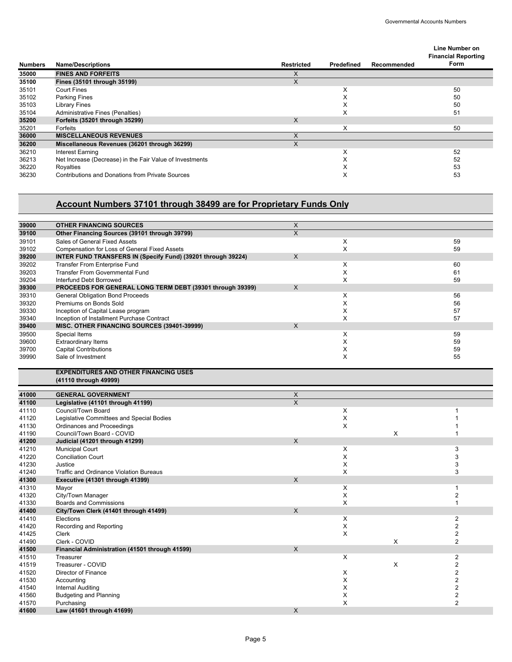#### **Numbers Name/Descriptions Restricted Predefined Recommended Line Number on Financial Reporting Form 35000 FINES AND FORFEITS** X **35100 Fines (35101 through 35199)** X 35101 Court Fines X 50 35102 Parking Fines X 50 35103 Library Fines X 50 35104 Administrative Fines (Penalties) 51<br>35200 **Forfeits (35201 through 35299)** 51 **35200 Forfeits (35201 through 35299)**<br>35201 Forfeits 35201 Forfeits X 50 **36000 MISCELLANEOUS REVENUES** X **Miscellaneous Revenues (36201 through 36299)** 36210 Interest Earning 52<br>36213 Net Increase (Decrease) in the Fair Value of Investments 52<br>36213 Net Increase (Decrease) in the Fair Value of Investments 52 36213 Net Increase (Decrease) in the Fair Value of Investments<br>36220 Royalties X<br>36230 Contributions and Donations from Private Sources X X 36220 Royalties X 53 36230 Contributions and Donations from Private Sources X 53

#### **Account Numbers 37101 through 38499 are for Proprietary Funds Only**

| Other Financing Sources (39101 through 39799)<br>X<br>39100<br>Χ<br>39101<br>Sales of General Fixed Assets<br>59<br>X<br>59<br>Compensation for Loss of General Fixed Assets<br>39102<br>INTER FUND TRANSFERS IN (Specify Fund) (39201 through 39224)<br>X<br>39200<br>X<br>39202<br><b>Transfer From Enterprise Fund</b><br>60<br>X<br>39203<br><b>Transfer From Governmental Fund</b><br>61<br>X<br>59<br>39204<br>Interfund Debt Borrowed<br>PROCEEDS FOR GENERAL LONG TERM DEBT (39301 through 39399)<br>X<br>39300<br>39310<br><b>General Obligation Bond Proceeds</b><br>X<br>56<br>X<br>39320<br>Premiums on Bonds Sold<br>56<br>X<br>39330<br>Inception of Capital Lease program<br>57<br>X<br>57<br>39340<br>Inception of Installment Purchase Contract<br>X<br>39400<br>MISC. OTHER FINANCING SOURCES (39401-39999)<br>39500<br>X<br>59<br>Special Items<br>X<br>39600<br><b>Extraordinary Items</b><br>59<br>X<br>59<br>39700<br><b>Capital Contributions</b><br>X<br>Sale of Investment<br>55<br>39990<br><b>EXPENDITURES AND OTHER FINANCING USES</b><br>(41110 through 49999)<br>X<br>41000<br><b>GENERAL GOVERNMENT</b><br>$\times$<br>41100<br>Legislative (41101 through 41199)<br>Council/Town Board<br>X<br>41110<br>1<br>Χ<br>Legislative Committees and Special Bodies<br>41120<br>1<br>X<br>Ordinances and Proceedings<br>41130<br>1<br>Council/Town Board - COVID<br>X<br>41190<br>1<br>Judicial (41201 through 41299)<br>X<br>41200<br>3<br><b>Municipal Court</b><br>X<br>41210<br>X<br>3<br>41220<br><b>Conciliation Court</b><br>X<br>3<br>Justice<br>41230<br>X<br>3<br>41240<br><b>Traffic and Ordinance Violation Bureaus</b><br>X<br>41300<br>Executive (41301 through 41399)<br>X<br>41310<br>Mayor<br>1<br>Χ<br>$\mathbf 2$<br>41320<br>City/Town Manager<br>X<br><b>Boards and Commissions</b><br>$\mathbf{1}$<br>41330<br>City/Town Clerk (41401 through 41499)<br>X<br>41400<br>X<br>$\mathbf{2}$<br>41410<br>Elections<br>$\overline{2}$<br>X<br>41420<br>Recording and Reporting<br>X<br>$\overline{\mathbf{c}}$<br>Clerk<br>41425<br>X<br>$\overline{2}$<br>41490<br>Clerk - COVID<br>$\times$<br>41500<br>Financial Administration (41501 through 41599)<br>X<br>$\overline{2}$<br>41510<br>Treasurer<br>Treasurer - COVID<br>X<br>$\overline{2}$<br>41519<br>$\overline{2}$<br>Director of Finance<br>X<br>41520<br>X<br>$\overline{c}$<br>41530<br>Accounting<br>$\overline{2}$<br>X<br>41540<br>Internal Auditing<br>$\mathbf 2$<br>X<br><b>Budgeting and Planning</b><br>41560<br>$\overline{2}$<br>X<br>41570<br>Purchasing<br>Law (41601 through 41699)<br>X | 39000 | <b>OTHER FINANCING SOURCES</b> | X |  |  |
|------------------------------------------------------------------------------------------------------------------------------------------------------------------------------------------------------------------------------------------------------------------------------------------------------------------------------------------------------------------------------------------------------------------------------------------------------------------------------------------------------------------------------------------------------------------------------------------------------------------------------------------------------------------------------------------------------------------------------------------------------------------------------------------------------------------------------------------------------------------------------------------------------------------------------------------------------------------------------------------------------------------------------------------------------------------------------------------------------------------------------------------------------------------------------------------------------------------------------------------------------------------------------------------------------------------------------------------------------------------------------------------------------------------------------------------------------------------------------------------------------------------------------------------------------------------------------------------------------------------------------------------------------------------------------------------------------------------------------------------------------------------------------------------------------------------------------------------------------------------------------------------------------------------------------------------------------------------------------------------------------------------------------------------------------------------------------------------------------------------------------------------------------------------------------------------------------------------------------------------------------------------------------------------------------------------------------------------------------------------------------------------------------------------------------------------------------------------------------------------------------------------------------------------------------------------------------------------------------------|-------|--------------------------------|---|--|--|
|                                                                                                                                                                                                                                                                                                                                                                                                                                                                                                                                                                                                                                                                                                                                                                                                                                                                                                                                                                                                                                                                                                                                                                                                                                                                                                                                                                                                                                                                                                                                                                                                                                                                                                                                                                                                                                                                                                                                                                                                                                                                                                                                                                                                                                                                                                                                                                                                                                                                                                                                                                                                            |       |                                |   |  |  |
|                                                                                                                                                                                                                                                                                                                                                                                                                                                                                                                                                                                                                                                                                                                                                                                                                                                                                                                                                                                                                                                                                                                                                                                                                                                                                                                                                                                                                                                                                                                                                                                                                                                                                                                                                                                                                                                                                                                                                                                                                                                                                                                                                                                                                                                                                                                                                                                                                                                                                                                                                                                                            |       |                                |   |  |  |
|                                                                                                                                                                                                                                                                                                                                                                                                                                                                                                                                                                                                                                                                                                                                                                                                                                                                                                                                                                                                                                                                                                                                                                                                                                                                                                                                                                                                                                                                                                                                                                                                                                                                                                                                                                                                                                                                                                                                                                                                                                                                                                                                                                                                                                                                                                                                                                                                                                                                                                                                                                                                            |       |                                |   |  |  |
|                                                                                                                                                                                                                                                                                                                                                                                                                                                                                                                                                                                                                                                                                                                                                                                                                                                                                                                                                                                                                                                                                                                                                                                                                                                                                                                                                                                                                                                                                                                                                                                                                                                                                                                                                                                                                                                                                                                                                                                                                                                                                                                                                                                                                                                                                                                                                                                                                                                                                                                                                                                                            |       |                                |   |  |  |
|                                                                                                                                                                                                                                                                                                                                                                                                                                                                                                                                                                                                                                                                                                                                                                                                                                                                                                                                                                                                                                                                                                                                                                                                                                                                                                                                                                                                                                                                                                                                                                                                                                                                                                                                                                                                                                                                                                                                                                                                                                                                                                                                                                                                                                                                                                                                                                                                                                                                                                                                                                                                            |       |                                |   |  |  |
|                                                                                                                                                                                                                                                                                                                                                                                                                                                                                                                                                                                                                                                                                                                                                                                                                                                                                                                                                                                                                                                                                                                                                                                                                                                                                                                                                                                                                                                                                                                                                                                                                                                                                                                                                                                                                                                                                                                                                                                                                                                                                                                                                                                                                                                                                                                                                                                                                                                                                                                                                                                                            |       |                                |   |  |  |
|                                                                                                                                                                                                                                                                                                                                                                                                                                                                                                                                                                                                                                                                                                                                                                                                                                                                                                                                                                                                                                                                                                                                                                                                                                                                                                                                                                                                                                                                                                                                                                                                                                                                                                                                                                                                                                                                                                                                                                                                                                                                                                                                                                                                                                                                                                                                                                                                                                                                                                                                                                                                            |       |                                |   |  |  |
|                                                                                                                                                                                                                                                                                                                                                                                                                                                                                                                                                                                                                                                                                                                                                                                                                                                                                                                                                                                                                                                                                                                                                                                                                                                                                                                                                                                                                                                                                                                                                                                                                                                                                                                                                                                                                                                                                                                                                                                                                                                                                                                                                                                                                                                                                                                                                                                                                                                                                                                                                                                                            |       |                                |   |  |  |
|                                                                                                                                                                                                                                                                                                                                                                                                                                                                                                                                                                                                                                                                                                                                                                                                                                                                                                                                                                                                                                                                                                                                                                                                                                                                                                                                                                                                                                                                                                                                                                                                                                                                                                                                                                                                                                                                                                                                                                                                                                                                                                                                                                                                                                                                                                                                                                                                                                                                                                                                                                                                            |       |                                |   |  |  |
|                                                                                                                                                                                                                                                                                                                                                                                                                                                                                                                                                                                                                                                                                                                                                                                                                                                                                                                                                                                                                                                                                                                                                                                                                                                                                                                                                                                                                                                                                                                                                                                                                                                                                                                                                                                                                                                                                                                                                                                                                                                                                                                                                                                                                                                                                                                                                                                                                                                                                                                                                                                                            |       |                                |   |  |  |
|                                                                                                                                                                                                                                                                                                                                                                                                                                                                                                                                                                                                                                                                                                                                                                                                                                                                                                                                                                                                                                                                                                                                                                                                                                                                                                                                                                                                                                                                                                                                                                                                                                                                                                                                                                                                                                                                                                                                                                                                                                                                                                                                                                                                                                                                                                                                                                                                                                                                                                                                                                                                            |       |                                |   |  |  |
|                                                                                                                                                                                                                                                                                                                                                                                                                                                                                                                                                                                                                                                                                                                                                                                                                                                                                                                                                                                                                                                                                                                                                                                                                                                                                                                                                                                                                                                                                                                                                                                                                                                                                                                                                                                                                                                                                                                                                                                                                                                                                                                                                                                                                                                                                                                                                                                                                                                                                                                                                                                                            |       |                                |   |  |  |
|                                                                                                                                                                                                                                                                                                                                                                                                                                                                                                                                                                                                                                                                                                                                                                                                                                                                                                                                                                                                                                                                                                                                                                                                                                                                                                                                                                                                                                                                                                                                                                                                                                                                                                                                                                                                                                                                                                                                                                                                                                                                                                                                                                                                                                                                                                                                                                                                                                                                                                                                                                                                            |       |                                |   |  |  |
|                                                                                                                                                                                                                                                                                                                                                                                                                                                                                                                                                                                                                                                                                                                                                                                                                                                                                                                                                                                                                                                                                                                                                                                                                                                                                                                                                                                                                                                                                                                                                                                                                                                                                                                                                                                                                                                                                                                                                                                                                                                                                                                                                                                                                                                                                                                                                                                                                                                                                                                                                                                                            |       |                                |   |  |  |
|                                                                                                                                                                                                                                                                                                                                                                                                                                                                                                                                                                                                                                                                                                                                                                                                                                                                                                                                                                                                                                                                                                                                                                                                                                                                                                                                                                                                                                                                                                                                                                                                                                                                                                                                                                                                                                                                                                                                                                                                                                                                                                                                                                                                                                                                                                                                                                                                                                                                                                                                                                                                            |       |                                |   |  |  |
|                                                                                                                                                                                                                                                                                                                                                                                                                                                                                                                                                                                                                                                                                                                                                                                                                                                                                                                                                                                                                                                                                                                                                                                                                                                                                                                                                                                                                                                                                                                                                                                                                                                                                                                                                                                                                                                                                                                                                                                                                                                                                                                                                                                                                                                                                                                                                                                                                                                                                                                                                                                                            |       |                                |   |  |  |
|                                                                                                                                                                                                                                                                                                                                                                                                                                                                                                                                                                                                                                                                                                                                                                                                                                                                                                                                                                                                                                                                                                                                                                                                                                                                                                                                                                                                                                                                                                                                                                                                                                                                                                                                                                                                                                                                                                                                                                                                                                                                                                                                                                                                                                                                                                                                                                                                                                                                                                                                                                                                            |       |                                |   |  |  |
|                                                                                                                                                                                                                                                                                                                                                                                                                                                                                                                                                                                                                                                                                                                                                                                                                                                                                                                                                                                                                                                                                                                                                                                                                                                                                                                                                                                                                                                                                                                                                                                                                                                                                                                                                                                                                                                                                                                                                                                                                                                                                                                                                                                                                                                                                                                                                                                                                                                                                                                                                                                                            |       |                                |   |  |  |
|                                                                                                                                                                                                                                                                                                                                                                                                                                                                                                                                                                                                                                                                                                                                                                                                                                                                                                                                                                                                                                                                                                                                                                                                                                                                                                                                                                                                                                                                                                                                                                                                                                                                                                                                                                                                                                                                                                                                                                                                                                                                                                                                                                                                                                                                                                                                                                                                                                                                                                                                                                                                            |       |                                |   |  |  |
|                                                                                                                                                                                                                                                                                                                                                                                                                                                                                                                                                                                                                                                                                                                                                                                                                                                                                                                                                                                                                                                                                                                                                                                                                                                                                                                                                                                                                                                                                                                                                                                                                                                                                                                                                                                                                                                                                                                                                                                                                                                                                                                                                                                                                                                                                                                                                                                                                                                                                                                                                                                                            |       |                                |   |  |  |
|                                                                                                                                                                                                                                                                                                                                                                                                                                                                                                                                                                                                                                                                                                                                                                                                                                                                                                                                                                                                                                                                                                                                                                                                                                                                                                                                                                                                                                                                                                                                                                                                                                                                                                                                                                                                                                                                                                                                                                                                                                                                                                                                                                                                                                                                                                                                                                                                                                                                                                                                                                                                            |       |                                |   |  |  |
|                                                                                                                                                                                                                                                                                                                                                                                                                                                                                                                                                                                                                                                                                                                                                                                                                                                                                                                                                                                                                                                                                                                                                                                                                                                                                                                                                                                                                                                                                                                                                                                                                                                                                                                                                                                                                                                                                                                                                                                                                                                                                                                                                                                                                                                                                                                                                                                                                                                                                                                                                                                                            |       |                                |   |  |  |
|                                                                                                                                                                                                                                                                                                                                                                                                                                                                                                                                                                                                                                                                                                                                                                                                                                                                                                                                                                                                                                                                                                                                                                                                                                                                                                                                                                                                                                                                                                                                                                                                                                                                                                                                                                                                                                                                                                                                                                                                                                                                                                                                                                                                                                                                                                                                                                                                                                                                                                                                                                                                            |       |                                |   |  |  |
|                                                                                                                                                                                                                                                                                                                                                                                                                                                                                                                                                                                                                                                                                                                                                                                                                                                                                                                                                                                                                                                                                                                                                                                                                                                                                                                                                                                                                                                                                                                                                                                                                                                                                                                                                                                                                                                                                                                                                                                                                                                                                                                                                                                                                                                                                                                                                                                                                                                                                                                                                                                                            |       |                                |   |  |  |
|                                                                                                                                                                                                                                                                                                                                                                                                                                                                                                                                                                                                                                                                                                                                                                                                                                                                                                                                                                                                                                                                                                                                                                                                                                                                                                                                                                                                                                                                                                                                                                                                                                                                                                                                                                                                                                                                                                                                                                                                                                                                                                                                                                                                                                                                                                                                                                                                                                                                                                                                                                                                            |       |                                |   |  |  |
|                                                                                                                                                                                                                                                                                                                                                                                                                                                                                                                                                                                                                                                                                                                                                                                                                                                                                                                                                                                                                                                                                                                                                                                                                                                                                                                                                                                                                                                                                                                                                                                                                                                                                                                                                                                                                                                                                                                                                                                                                                                                                                                                                                                                                                                                                                                                                                                                                                                                                                                                                                                                            |       |                                |   |  |  |
|                                                                                                                                                                                                                                                                                                                                                                                                                                                                                                                                                                                                                                                                                                                                                                                                                                                                                                                                                                                                                                                                                                                                                                                                                                                                                                                                                                                                                                                                                                                                                                                                                                                                                                                                                                                                                                                                                                                                                                                                                                                                                                                                                                                                                                                                                                                                                                                                                                                                                                                                                                                                            |       |                                |   |  |  |
|                                                                                                                                                                                                                                                                                                                                                                                                                                                                                                                                                                                                                                                                                                                                                                                                                                                                                                                                                                                                                                                                                                                                                                                                                                                                                                                                                                                                                                                                                                                                                                                                                                                                                                                                                                                                                                                                                                                                                                                                                                                                                                                                                                                                                                                                                                                                                                                                                                                                                                                                                                                                            |       |                                |   |  |  |
|                                                                                                                                                                                                                                                                                                                                                                                                                                                                                                                                                                                                                                                                                                                                                                                                                                                                                                                                                                                                                                                                                                                                                                                                                                                                                                                                                                                                                                                                                                                                                                                                                                                                                                                                                                                                                                                                                                                                                                                                                                                                                                                                                                                                                                                                                                                                                                                                                                                                                                                                                                                                            |       |                                |   |  |  |
|                                                                                                                                                                                                                                                                                                                                                                                                                                                                                                                                                                                                                                                                                                                                                                                                                                                                                                                                                                                                                                                                                                                                                                                                                                                                                                                                                                                                                                                                                                                                                                                                                                                                                                                                                                                                                                                                                                                                                                                                                                                                                                                                                                                                                                                                                                                                                                                                                                                                                                                                                                                                            |       |                                |   |  |  |
|                                                                                                                                                                                                                                                                                                                                                                                                                                                                                                                                                                                                                                                                                                                                                                                                                                                                                                                                                                                                                                                                                                                                                                                                                                                                                                                                                                                                                                                                                                                                                                                                                                                                                                                                                                                                                                                                                                                                                                                                                                                                                                                                                                                                                                                                                                                                                                                                                                                                                                                                                                                                            |       |                                |   |  |  |
|                                                                                                                                                                                                                                                                                                                                                                                                                                                                                                                                                                                                                                                                                                                                                                                                                                                                                                                                                                                                                                                                                                                                                                                                                                                                                                                                                                                                                                                                                                                                                                                                                                                                                                                                                                                                                                                                                                                                                                                                                                                                                                                                                                                                                                                                                                                                                                                                                                                                                                                                                                                                            |       |                                |   |  |  |
|                                                                                                                                                                                                                                                                                                                                                                                                                                                                                                                                                                                                                                                                                                                                                                                                                                                                                                                                                                                                                                                                                                                                                                                                                                                                                                                                                                                                                                                                                                                                                                                                                                                                                                                                                                                                                                                                                                                                                                                                                                                                                                                                                                                                                                                                                                                                                                                                                                                                                                                                                                                                            |       |                                |   |  |  |
|                                                                                                                                                                                                                                                                                                                                                                                                                                                                                                                                                                                                                                                                                                                                                                                                                                                                                                                                                                                                                                                                                                                                                                                                                                                                                                                                                                                                                                                                                                                                                                                                                                                                                                                                                                                                                                                                                                                                                                                                                                                                                                                                                                                                                                                                                                                                                                                                                                                                                                                                                                                                            |       |                                |   |  |  |
|                                                                                                                                                                                                                                                                                                                                                                                                                                                                                                                                                                                                                                                                                                                                                                                                                                                                                                                                                                                                                                                                                                                                                                                                                                                                                                                                                                                                                                                                                                                                                                                                                                                                                                                                                                                                                                                                                                                                                                                                                                                                                                                                                                                                                                                                                                                                                                                                                                                                                                                                                                                                            |       |                                |   |  |  |
|                                                                                                                                                                                                                                                                                                                                                                                                                                                                                                                                                                                                                                                                                                                                                                                                                                                                                                                                                                                                                                                                                                                                                                                                                                                                                                                                                                                                                                                                                                                                                                                                                                                                                                                                                                                                                                                                                                                                                                                                                                                                                                                                                                                                                                                                                                                                                                                                                                                                                                                                                                                                            |       |                                |   |  |  |
|                                                                                                                                                                                                                                                                                                                                                                                                                                                                                                                                                                                                                                                                                                                                                                                                                                                                                                                                                                                                                                                                                                                                                                                                                                                                                                                                                                                                                                                                                                                                                                                                                                                                                                                                                                                                                                                                                                                                                                                                                                                                                                                                                                                                                                                                                                                                                                                                                                                                                                                                                                                                            |       |                                |   |  |  |
|                                                                                                                                                                                                                                                                                                                                                                                                                                                                                                                                                                                                                                                                                                                                                                                                                                                                                                                                                                                                                                                                                                                                                                                                                                                                                                                                                                                                                                                                                                                                                                                                                                                                                                                                                                                                                                                                                                                                                                                                                                                                                                                                                                                                                                                                                                                                                                                                                                                                                                                                                                                                            |       |                                |   |  |  |
|                                                                                                                                                                                                                                                                                                                                                                                                                                                                                                                                                                                                                                                                                                                                                                                                                                                                                                                                                                                                                                                                                                                                                                                                                                                                                                                                                                                                                                                                                                                                                                                                                                                                                                                                                                                                                                                                                                                                                                                                                                                                                                                                                                                                                                                                                                                                                                                                                                                                                                                                                                                                            |       |                                |   |  |  |
|                                                                                                                                                                                                                                                                                                                                                                                                                                                                                                                                                                                                                                                                                                                                                                                                                                                                                                                                                                                                                                                                                                                                                                                                                                                                                                                                                                                                                                                                                                                                                                                                                                                                                                                                                                                                                                                                                                                                                                                                                                                                                                                                                                                                                                                                                                                                                                                                                                                                                                                                                                                                            |       |                                |   |  |  |
|                                                                                                                                                                                                                                                                                                                                                                                                                                                                                                                                                                                                                                                                                                                                                                                                                                                                                                                                                                                                                                                                                                                                                                                                                                                                                                                                                                                                                                                                                                                                                                                                                                                                                                                                                                                                                                                                                                                                                                                                                                                                                                                                                                                                                                                                                                                                                                                                                                                                                                                                                                                                            |       |                                |   |  |  |
|                                                                                                                                                                                                                                                                                                                                                                                                                                                                                                                                                                                                                                                                                                                                                                                                                                                                                                                                                                                                                                                                                                                                                                                                                                                                                                                                                                                                                                                                                                                                                                                                                                                                                                                                                                                                                                                                                                                                                                                                                                                                                                                                                                                                                                                                                                                                                                                                                                                                                                                                                                                                            |       |                                |   |  |  |
|                                                                                                                                                                                                                                                                                                                                                                                                                                                                                                                                                                                                                                                                                                                                                                                                                                                                                                                                                                                                                                                                                                                                                                                                                                                                                                                                                                                                                                                                                                                                                                                                                                                                                                                                                                                                                                                                                                                                                                                                                                                                                                                                                                                                                                                                                                                                                                                                                                                                                                                                                                                                            |       |                                |   |  |  |
|                                                                                                                                                                                                                                                                                                                                                                                                                                                                                                                                                                                                                                                                                                                                                                                                                                                                                                                                                                                                                                                                                                                                                                                                                                                                                                                                                                                                                                                                                                                                                                                                                                                                                                                                                                                                                                                                                                                                                                                                                                                                                                                                                                                                                                                                                                                                                                                                                                                                                                                                                                                                            |       |                                |   |  |  |
|                                                                                                                                                                                                                                                                                                                                                                                                                                                                                                                                                                                                                                                                                                                                                                                                                                                                                                                                                                                                                                                                                                                                                                                                                                                                                                                                                                                                                                                                                                                                                                                                                                                                                                                                                                                                                                                                                                                                                                                                                                                                                                                                                                                                                                                                                                                                                                                                                                                                                                                                                                                                            |       |                                |   |  |  |
|                                                                                                                                                                                                                                                                                                                                                                                                                                                                                                                                                                                                                                                                                                                                                                                                                                                                                                                                                                                                                                                                                                                                                                                                                                                                                                                                                                                                                                                                                                                                                                                                                                                                                                                                                                                                                                                                                                                                                                                                                                                                                                                                                                                                                                                                                                                                                                                                                                                                                                                                                                                                            |       |                                |   |  |  |
|                                                                                                                                                                                                                                                                                                                                                                                                                                                                                                                                                                                                                                                                                                                                                                                                                                                                                                                                                                                                                                                                                                                                                                                                                                                                                                                                                                                                                                                                                                                                                                                                                                                                                                                                                                                                                                                                                                                                                                                                                                                                                                                                                                                                                                                                                                                                                                                                                                                                                                                                                                                                            |       |                                |   |  |  |
|                                                                                                                                                                                                                                                                                                                                                                                                                                                                                                                                                                                                                                                                                                                                                                                                                                                                                                                                                                                                                                                                                                                                                                                                                                                                                                                                                                                                                                                                                                                                                                                                                                                                                                                                                                                                                                                                                                                                                                                                                                                                                                                                                                                                                                                                                                                                                                                                                                                                                                                                                                                                            |       |                                |   |  |  |
|                                                                                                                                                                                                                                                                                                                                                                                                                                                                                                                                                                                                                                                                                                                                                                                                                                                                                                                                                                                                                                                                                                                                                                                                                                                                                                                                                                                                                                                                                                                                                                                                                                                                                                                                                                                                                                                                                                                                                                                                                                                                                                                                                                                                                                                                                                                                                                                                                                                                                                                                                                                                            | 41600 |                                |   |  |  |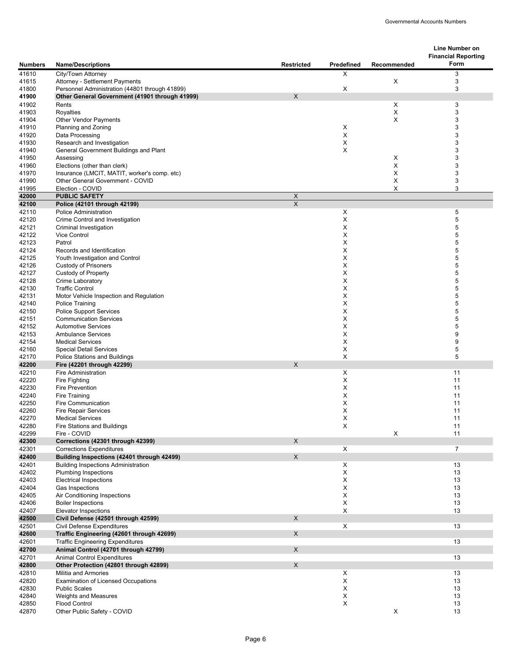|                |                                                                                  |                           |             |             | Line Number on<br><b>Financial Reporting</b> |
|----------------|----------------------------------------------------------------------------------|---------------------------|-------------|-------------|----------------------------------------------|
| <b>Numbers</b> | <b>Name/Descriptions</b>                                                         | <b>Restricted</b>         | Predefined  | Recommended | Form                                         |
| 41610          | City/Town Attorney                                                               |                           | X           |             | 3                                            |
| 41615<br>41800 | Attorney - Settlement Payments<br>Personnel Administration (44801 through 41899) |                           | X           | X           | 3<br>3                                       |
| 41900          | Other General Government (41901 through 41999)                                   | X                         |             |             |                                              |
| 41902          | Rents                                                                            |                           |             | X           | 3                                            |
| 41903          | Royalties                                                                        |                           |             | X           | 3                                            |
| 41904          | <b>Other Vendor Payments</b>                                                     |                           |             | X           | 3                                            |
| 41910          | Planning and Zoning                                                              |                           | X           |             | 3                                            |
| 41920          | Data Processing                                                                  |                           | X           |             | 3<br>3                                       |
| 41930<br>41940 | Research and Investigation<br>General Government Buildings and Plant             |                           | X<br>X      |             | 3                                            |
| 41950          | Assessing                                                                        |                           |             | Χ           | 3                                            |
| 41960          | Elections (other than clerk)                                                     |                           |             | Χ           | 3                                            |
| 41970          | Insurance (LMCIT, MATIT, worker's comp. etc)                                     |                           |             | X           | 3                                            |
| 41990          | Other General Government - COVID                                                 |                           |             | X           | 3                                            |
| 41995          | Election - COVID                                                                 |                           |             | Χ           | 3                                            |
| 42000          | <b>PUBLIC SAFETY</b>                                                             | $\boldsymbol{\mathsf{X}}$ |             |             |                                              |
| 42100          | Police (42101 through 42199)<br>Police Administration                            | $\pmb{\times}$            |             |             |                                              |
| 42110<br>42120 | Crime Control and Investigation                                                  |                           | X<br>X      |             | 5<br>5                                       |
| 42121          | Criminal Investigation                                                           |                           | X           |             | 5                                            |
| 42122          | Vice Control                                                                     |                           | X           |             | 5                                            |
| 42123          | Patrol                                                                           |                           | X           |             | 5                                            |
| 42124          | Records and Identification                                                       |                           | X           |             | 5                                            |
| 42125          | Youth Investigation and Control                                                  |                           | X           |             | 5                                            |
| 42126          | <b>Custody of Prisoners</b>                                                      |                           | X           |             | 5                                            |
| 42127<br>42128 | <b>Custody of Property</b><br>Crime Laboratory                                   |                           | X<br>X      |             | 5<br>5                                       |
| 42130          | <b>Traffic Control</b>                                                           |                           | X           |             | 5                                            |
| 42131          | Motor Vehicle Inspection and Regulation                                          |                           | Χ           |             | 5                                            |
| 42140          | <b>Police Training</b>                                                           |                           | X           |             | 5                                            |
| 42150          | <b>Police Support Services</b>                                                   |                           | X           |             | 5                                            |
| 42151          | <b>Communication Services</b>                                                    |                           | X           |             | 5                                            |
| 42152          | <b>Automotive Services</b>                                                       |                           | X           |             | 5<br>9                                       |
| 42153<br>42154 | <b>Ambulance Services</b><br><b>Medical Services</b>                             |                           | X<br>X      |             | 9                                            |
| 42160          | <b>Special Detail Services</b>                                                   |                           | X           |             | 5                                            |
| 42170          | Police Stations and Buildings                                                    |                           | X           |             | 5                                            |
| 42200          | Fire (42201 through 42299)                                                       | X                         |             |             |                                              |
| 42210          | Fire Administration                                                              |                           | X           |             | 11                                           |
| 42220          | Fire Fighting                                                                    |                           | X           |             | 11                                           |
| 42230          | Fire Prevention                                                                  |                           | X           |             | 11                                           |
| 42240<br>42250 | Fire Training<br>Fire Communication                                              |                           | X<br>X      |             | 11<br>11                                     |
| 42260          | <b>Fire Repair Services</b>                                                      |                           | X           |             | 11                                           |
| 42270          | <b>Medical Services</b>                                                          |                           | X           |             | 11                                           |
| 42280          | Fire Stations and Buildings                                                      |                           | $\mathsf X$ |             | 11                                           |
| 42299          | Fire - COVID                                                                     |                           |             | $\mathsf X$ | 11                                           |
| 42300          | Corrections (42301 through 42399)                                                | $\mathsf X$               |             |             |                                              |
| 42301<br>42400 | <b>Corrections Expenditures</b><br>Building Inspections (42401 through 42499)    | $\mathsf X$               | X           |             | $\overline{7}$                               |
| 42401          | <b>Building Inspections Administration</b>                                       |                           | X           |             | 13                                           |
| 42402          | <b>Plumbing Inspections</b>                                                      |                           | X           |             | 13                                           |
| 42403          | <b>Electrical Inspections</b>                                                    |                           | X           |             | 13                                           |
| 42404          | Gas Inspections                                                                  |                           | X           |             | 13                                           |
| 42405          | Air Conditioning Inspections                                                     |                           | X           |             | 13                                           |
| 42406          | <b>Boiler Inspections</b>                                                        |                           | X           |             | 13                                           |
| 42407          | Elevator Inspections                                                             |                           | X           |             | 13                                           |
| 42500<br>42501 | Civil Defense (42501 through 42599)<br>Civil Defense Expenditures                | $\mathsf{x}$              | X           |             | 13                                           |
| 42600          | Traffic Engineering (42601 through 42699)                                        | $\mathsf X$               |             |             |                                              |
| 42601          | <b>Traffic Engineering Expenditures</b>                                          |                           |             |             | 13                                           |
| 42700          | Animal Control (42701 through 42799)                                             | $\mathsf{X}$              |             |             |                                              |
| 42701          | <b>Animal Control Expenditures</b>                                               |                           |             |             | 13                                           |
| 42800          | Other Protection (42801 through 42899)                                           | $\mathsf X$               |             |             |                                              |
| 42810          | Militia and Armories                                                             |                           | X           |             | 13                                           |
| 42820          | <b>Examination of Licensed Occupations</b>                                       |                           | X           |             | 13                                           |
| 42830<br>42840 | <b>Public Scales</b><br>Weights and Measures                                     |                           | X<br>X      |             | 13<br>13                                     |
| 42850          | <b>Flood Control</b>                                                             |                           | $\mathsf X$ |             | 13                                           |
| 42870          | Other Public Safety - COVID                                                      |                           |             | $\mathsf X$ | 13                                           |
|                |                                                                                  |                           |             |             |                                              |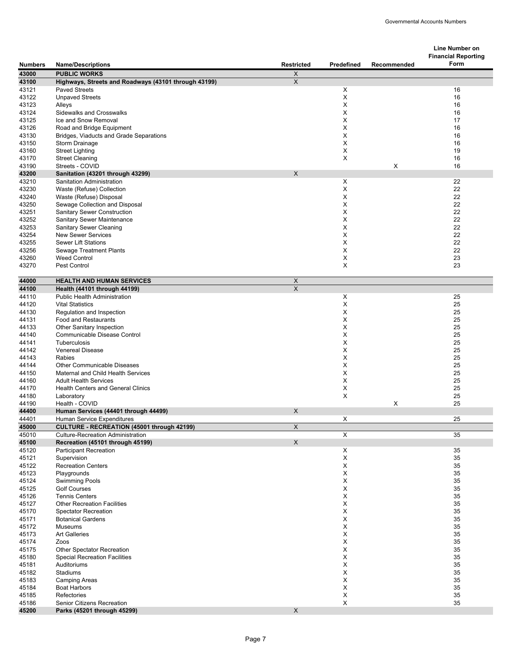|                |                                                                                        |                           |            |             | <b>Line Number on</b>              |
|----------------|----------------------------------------------------------------------------------------|---------------------------|------------|-------------|------------------------------------|
| <b>Numbers</b> | <b>Name/Descriptions</b>                                                               | <b>Restricted</b>         | Predefined | Recommended | <b>Financial Reporting</b><br>Form |
| 43000          | <b>PUBLIC WORKS</b>                                                                    | X                         |            |             |                                    |
| 43100          | Highways, Streets and Roadways (43101 through 43199)                                   | $\mathsf{X}$              |            |             |                                    |
| 43121          | <b>Paved Streets</b>                                                                   |                           | X          |             | 16                                 |
| 43122          | <b>Unpaved Streets</b>                                                                 |                           | X          |             | 16                                 |
| 43123          | Alleys                                                                                 |                           | X          |             | 16                                 |
| 43124          | <b>Sidewalks and Crosswalks</b><br>Ice and Snow Removal                                |                           | X<br>X     |             | 16<br>17                           |
| 43125<br>43126 | Road and Bridge Equipment                                                              |                           | X          |             | 16                                 |
| 43130          | Bridges, Viaducts and Grade Separations                                                |                           | X          |             | 16                                 |
| 43150          | Storm Drainage                                                                         |                           | X          |             | 16                                 |
| 43160          | <b>Street Lighting</b>                                                                 |                           | X          |             | 19                                 |
| 43170          | <b>Street Cleaning</b>                                                                 |                           | X          |             | 16                                 |
| 43190<br>43200 | Streets - COVID<br>Sanitation (43201 through 43299)                                    | X                         |            | X           | 16                                 |
| 43210          | Sanitation Administration                                                              |                           | X          |             | 22                                 |
| 43230          | Waste (Refuse) Collection                                                              |                           | X          |             | 22                                 |
| 43240          | Waste (Refuse) Disposal                                                                |                           | X          |             | 22                                 |
| 43250          | Sewage Collection and Disposal                                                         |                           | Χ          |             | 22                                 |
| 43251          | <b>Sanitary Sewer Construction</b>                                                     |                           | X          |             | 22                                 |
| 43252<br>43253 | Sanitary Sewer Maintenance<br><b>Sanitary Sewer Cleaning</b>                           |                           | X<br>X     |             | 22<br>22                           |
| 43254          | <b>New Sewer Services</b>                                                              |                           | Χ          |             | 22                                 |
| 43255          | <b>Sewer Lift Stations</b>                                                             |                           | X          |             | 22                                 |
| 43256          | <b>Sewage Treatment Plants</b>                                                         |                           | Χ          |             | 22                                 |
| 43260          | <b>Weed Control</b>                                                                    |                           | X          |             | 23                                 |
| 43270          | Pest Control                                                                           |                           | X          |             | 23                                 |
| 44000          | <b>HEALTH AND HUMAN SERVICES</b>                                                       | $\boldsymbol{\mathsf{X}}$ |            |             |                                    |
| 44100          | Health (44101 through 44199)                                                           | $\overline{\mathsf{x}}$   |            |             |                                    |
| 44110          | <b>Public Health Administration</b>                                                    |                           | Χ          |             | 25                                 |
| 44120          | <b>Vital Statistics</b>                                                                |                           | X          |             | 25                                 |
| 44130          | Regulation and Inspection                                                              |                           | X          |             | 25                                 |
| 44131<br>44133 | Food and Restaurants                                                                   |                           | X<br>X     |             | 25<br>25                           |
| 44140          | Other Sanitary Inspection<br>Communicable Disease Control                              |                           | Χ          |             | 25                                 |
| 44141          | Tuberculosis                                                                           |                           | X          |             | 25                                 |
| 44142          | <b>Venereal Disease</b>                                                                |                           | X          |             | 25                                 |
| 44143          | Rabies                                                                                 |                           | X          |             | 25                                 |
| 44144          | <b>Other Communicable Diseases</b>                                                     |                           | Χ          |             | 25                                 |
| 44150<br>44160 | Maternal and Child Health Services<br><b>Adult Health Services</b>                     |                           | Χ<br>Χ     |             | 25<br>25                           |
| 44170          | <b>Health Centers and General Clinics</b>                                              |                           | X          |             | 25                                 |
| 44180          | Laboratory                                                                             |                           | X          |             | 25                                 |
| 44190          | Health - COVID                                                                         |                           |            | X           | 25                                 |
| 44400          | Human Services (44401 through 44499)                                                   | X                         |            |             |                                    |
| 44401          | Human Service Expenditures                                                             |                           | Χ          |             | 25                                 |
| 45000<br>45010 | CULTURE - RECREATION (45001 through 42199)<br><b>Culture-Recreation Administration</b> | $\boldsymbol{\mathsf{X}}$ | X          |             | 35                                 |
| 45100          | Recreation (45101 through 45199)                                                       | X                         |            |             |                                    |
| 45120          | <b>Participant Recreation</b>                                                          |                           | X          |             | 35                                 |
| 45121          | Supervision                                                                            |                           | X          |             | 35                                 |
| 45122          | <b>Recreation Centers</b>                                                              |                           | Х          |             | 35                                 |
| 45123          | Playgrounds                                                                            |                           | Х          |             | 35<br>35                           |
| 45124<br>45125 | <b>Swimming Pools</b><br><b>Golf Courses</b>                                           |                           | Х<br>X     |             | 35                                 |
| 45126          | <b>Tennis Centers</b>                                                                  |                           | Х          |             | 35                                 |
| 45127          | <b>Other Recreation Facilities</b>                                                     |                           | X          |             | 35                                 |
| 45170          | <b>Spectator Recreation</b>                                                            |                           | X          |             | 35                                 |
| 45171          | <b>Botanical Gardens</b>                                                               |                           | X          |             | 35                                 |
| 45172          | Museums                                                                                |                           | X          |             | 35                                 |
| 45173<br>45174 | <b>Art Galleries</b><br>Zoos                                                           |                           | X<br>Х     |             | 35<br>35                           |
| 45175          | Other Spectator Recreation                                                             |                           | X          |             | 35                                 |
| 45180          | <b>Special Recreation Facilities</b>                                                   |                           | X          |             | 35                                 |
| 45181          | Auditoriums                                                                            |                           | X          |             | 35                                 |
| 45182          | Stadiums                                                                               |                           | Χ          |             | 35                                 |
| 45183          | <b>Camping Areas</b>                                                                   |                           | X          |             | 35                                 |
| 45184<br>45185 | <b>Boat Harbors</b><br>Refectories                                                     |                           | X<br>X     |             | 35<br>35                           |
| 45186          | Senior Citizens Recreation                                                             |                           | X          |             | 35                                 |
| 45200          | Parks (45201 through 45299)                                                            | X                         |            |             |                                    |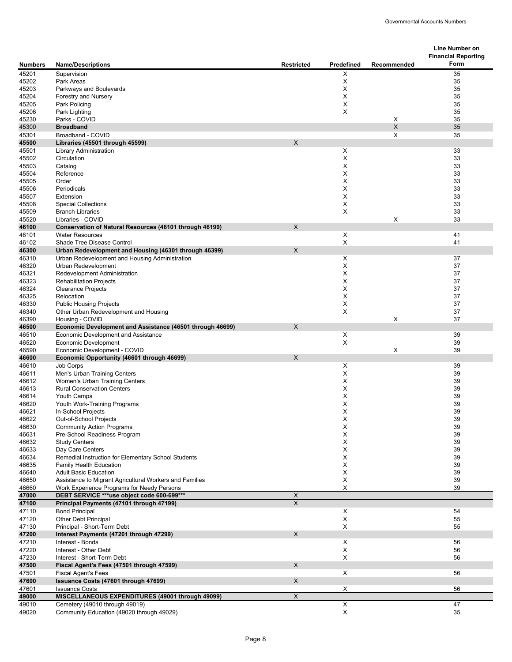| Form<br><b>Name/Descriptions</b><br>Restricted<br>Predefined<br>Recommended<br><b>Numbers</b><br>45201<br>35<br>Supervision<br>X<br>45202<br>Park Areas<br>X<br>35<br>35<br>45203<br>X<br>Parkways and Boulevards<br>X<br>35<br>45204<br>Forestry and Nursery<br>35<br>45205<br>X<br>Park Policing<br>45206<br>X<br>35<br>Park Lighting<br>X<br>Parks - COVID<br>35<br>45230<br>X<br>35<br><b>Broadband</b><br>45300<br>X<br>35<br>45301<br>Broadband - COVID<br>X<br>45500<br>Libraries (45501 through 45599)<br>X<br>33<br>45501<br><b>Library Administration</b><br>X<br>Circulation<br>33<br>45502<br>X<br>33<br>45503<br>Catalog<br>X<br>33<br>45504<br>Reference<br>X<br>33<br>45505<br>Order<br>33<br>45506<br>Periodicals<br>X<br>X<br>33<br>45507<br>Extension<br>33<br>45508<br>X<br><b>Special Collections</b><br>X<br>33<br>45509<br><b>Branch Libraries</b><br>X<br>33<br>45520<br>Libraries - COVID<br>X<br>46100<br>Conservation of Natural Resources (46101 through 46199)<br>46101<br><b>Water Resources</b><br>X<br>41<br>X<br>41<br>46102<br>Shade Tree Disease Control<br>46300<br>Urban Redevelopment and Housing (46301 through 46399)<br>X<br>X<br>46310<br>37<br>Urban Redevelopment and Housing Administration<br>X<br>37<br>46320<br>Urban Redevelopment<br>X<br>46321<br>Redevelopment Administration<br>37<br><b>Rehabilitation Projects</b><br>X<br>37<br>46323<br>X<br>37<br>46324<br><b>Clearance Projects</b><br>X<br>46325<br>Relocation<br>37<br>46330<br>X<br>37<br><b>Public Housing Projects</b><br>X<br>Other Urban Redevelopment and Housing<br>37<br>46340<br>X<br>37<br>46390<br>Housing - COVID<br>Economic Development and Assistance (46501 through 46699)<br>$\times$<br>46500<br><b>Economic Development and Assistance</b><br>X<br>39<br>46510<br>X<br>39<br>46520<br><b>Economic Development</b><br>X<br>39<br>Economic Development - COVID<br>46590<br>Economic Opportunity (46601 through 46699)<br>X<br>46600<br>46610<br>X<br>39<br>Job Corps<br>X<br>39<br>46611<br>Men's Urban Training Centers<br>X<br>39<br>46612<br>Women's Urban Training Centers<br>Х<br>39<br>46613<br><b>Rural Conservation Centers</b><br>39<br>X<br>46614<br>Youth Camps<br>х<br>39<br>46620<br>Youth Work-Training Programs<br>X<br>39<br>46621<br>In-School Projects<br>Out-of-School Projects<br>39<br>46622<br>х<br><b>Community Action Programs</b><br>X<br>39<br>46630<br>39<br>46631<br>Pre-School Readiness Program<br>Х<br>46632<br><b>Study Centers</b><br>X<br>39<br>39<br>46633<br>Day Care Centers<br>X<br>46634<br>Remedial Instruction for Elementary School Students<br>X<br>39<br>39<br>46635<br>Family Health Education<br>Х<br>X<br>46640<br><b>Adult Basic Education</b><br>39<br>X<br>39<br>46650<br>Assistance to Migrant Agricultural Workers and Families<br>X<br>46660<br>Work Experience Programs for Needy Persons<br>39<br>DEBT SERVICE *** use object code 600-699***<br>$\boldsymbol{\mathsf{X}}$<br>47000<br>$\overline{X}$<br>47100<br>Principal Payments (47101 through 47199)<br>47110<br><b>Bond Principal</b><br>X<br>54<br>X<br>55<br>47120<br>Other Debt Principal<br>X<br>55<br>47130<br>Principal - Short-Term Debt<br>X<br>47200<br>Interest Payments (47201 through 47299)<br>47210<br>Interest - Bonds<br>X<br>56<br>X<br>47220<br>Interest - Other Debt<br>56<br>X<br>47230<br>Interest - Short-Term Debt<br>56<br>47500<br>Fiscal Agent's Fees (47501 through 47599)<br>X<br>47501<br><b>Fiscal Agent's Fees</b><br>X<br>56<br>X<br>47600<br>Issuance Costs (47601 through 47699)<br><b>Issuance Costs</b><br>47601<br>X<br>56<br>MISCELLANEOUS EXPENDITURES (49001 through 49099)<br>$\mathsf X$<br>49000<br>49010<br>Cemetery (49010 through 49019)<br>X<br>47<br>Community Education (49020 through 49029)<br>X<br>49020<br>35 |  |  | <b>Line Number on</b>      |
|---------------------------------------------------------------------------------------------------------------------------------------------------------------------------------------------------------------------------------------------------------------------------------------------------------------------------------------------------------------------------------------------------------------------------------------------------------------------------------------------------------------------------------------------------------------------------------------------------------------------------------------------------------------------------------------------------------------------------------------------------------------------------------------------------------------------------------------------------------------------------------------------------------------------------------------------------------------------------------------------------------------------------------------------------------------------------------------------------------------------------------------------------------------------------------------------------------------------------------------------------------------------------------------------------------------------------------------------------------------------------------------------------------------------------------------------------------------------------------------------------------------------------------------------------------------------------------------------------------------------------------------------------------------------------------------------------------------------------------------------------------------------------------------------------------------------------------------------------------------------------------------------------------------------------------------------------------------------------------------------------------------------------------------------------------------------------------------------------------------------------------------------------------------------------------------------------------------------------------------------------------------------------------------------------------------------------------------------------------------------------------------------------------------------------------------------------------------------------------------------------------------------------------------------------------------------------------------------------------------------------------------------------------------------------------------------------------------------------------------------------------------------------------------------------------------------------------------------------------------------------------------------------------------------------------------------------------------------------------------------------------------------------------------------------------------------------------------------------------------------------------------------------------------------------------------------------------------------------------------------------------------------------------------------------------------------------------------------------------------------------------------------------------------------------------------------------------------------------------------------------------------------------------------------------------------------------------------------------------------------------------------------------------------------------------------------------------------------------------------------------------------------------------------------------------------|--|--|----------------------------|
|                                                                                                                                                                                                                                                                                                                                                                                                                                                                                                                                                                                                                                                                                                                                                                                                                                                                                                                                                                                                                                                                                                                                                                                                                                                                                                                                                                                                                                                                                                                                                                                                                                                                                                                                                                                                                                                                                                                                                                                                                                                                                                                                                                                                                                                                                                                                                                                                                                                                                                                                                                                                                                                                                                                                                                                                                                                                                                                                                                                                                                                                                                                                                                                                                                                                                                                                                                                                                                                                                                                                                                                                                                                                                                                                                                                                               |  |  | <b>Financial Reporting</b> |
|                                                                                                                                                                                                                                                                                                                                                                                                                                                                                                                                                                                                                                                                                                                                                                                                                                                                                                                                                                                                                                                                                                                                                                                                                                                                                                                                                                                                                                                                                                                                                                                                                                                                                                                                                                                                                                                                                                                                                                                                                                                                                                                                                                                                                                                                                                                                                                                                                                                                                                                                                                                                                                                                                                                                                                                                                                                                                                                                                                                                                                                                                                                                                                                                                                                                                                                                                                                                                                                                                                                                                                                                                                                                                                                                                                                                               |  |  |                            |
|                                                                                                                                                                                                                                                                                                                                                                                                                                                                                                                                                                                                                                                                                                                                                                                                                                                                                                                                                                                                                                                                                                                                                                                                                                                                                                                                                                                                                                                                                                                                                                                                                                                                                                                                                                                                                                                                                                                                                                                                                                                                                                                                                                                                                                                                                                                                                                                                                                                                                                                                                                                                                                                                                                                                                                                                                                                                                                                                                                                                                                                                                                                                                                                                                                                                                                                                                                                                                                                                                                                                                                                                                                                                                                                                                                                                               |  |  |                            |
|                                                                                                                                                                                                                                                                                                                                                                                                                                                                                                                                                                                                                                                                                                                                                                                                                                                                                                                                                                                                                                                                                                                                                                                                                                                                                                                                                                                                                                                                                                                                                                                                                                                                                                                                                                                                                                                                                                                                                                                                                                                                                                                                                                                                                                                                                                                                                                                                                                                                                                                                                                                                                                                                                                                                                                                                                                                                                                                                                                                                                                                                                                                                                                                                                                                                                                                                                                                                                                                                                                                                                                                                                                                                                                                                                                                                               |  |  |                            |
|                                                                                                                                                                                                                                                                                                                                                                                                                                                                                                                                                                                                                                                                                                                                                                                                                                                                                                                                                                                                                                                                                                                                                                                                                                                                                                                                                                                                                                                                                                                                                                                                                                                                                                                                                                                                                                                                                                                                                                                                                                                                                                                                                                                                                                                                                                                                                                                                                                                                                                                                                                                                                                                                                                                                                                                                                                                                                                                                                                                                                                                                                                                                                                                                                                                                                                                                                                                                                                                                                                                                                                                                                                                                                                                                                                                                               |  |  |                            |
|                                                                                                                                                                                                                                                                                                                                                                                                                                                                                                                                                                                                                                                                                                                                                                                                                                                                                                                                                                                                                                                                                                                                                                                                                                                                                                                                                                                                                                                                                                                                                                                                                                                                                                                                                                                                                                                                                                                                                                                                                                                                                                                                                                                                                                                                                                                                                                                                                                                                                                                                                                                                                                                                                                                                                                                                                                                                                                                                                                                                                                                                                                                                                                                                                                                                                                                                                                                                                                                                                                                                                                                                                                                                                                                                                                                                               |  |  |                            |
|                                                                                                                                                                                                                                                                                                                                                                                                                                                                                                                                                                                                                                                                                                                                                                                                                                                                                                                                                                                                                                                                                                                                                                                                                                                                                                                                                                                                                                                                                                                                                                                                                                                                                                                                                                                                                                                                                                                                                                                                                                                                                                                                                                                                                                                                                                                                                                                                                                                                                                                                                                                                                                                                                                                                                                                                                                                                                                                                                                                                                                                                                                                                                                                                                                                                                                                                                                                                                                                                                                                                                                                                                                                                                                                                                                                                               |  |  |                            |
|                                                                                                                                                                                                                                                                                                                                                                                                                                                                                                                                                                                                                                                                                                                                                                                                                                                                                                                                                                                                                                                                                                                                                                                                                                                                                                                                                                                                                                                                                                                                                                                                                                                                                                                                                                                                                                                                                                                                                                                                                                                                                                                                                                                                                                                                                                                                                                                                                                                                                                                                                                                                                                                                                                                                                                                                                                                                                                                                                                                                                                                                                                                                                                                                                                                                                                                                                                                                                                                                                                                                                                                                                                                                                                                                                                                                               |  |  |                            |
|                                                                                                                                                                                                                                                                                                                                                                                                                                                                                                                                                                                                                                                                                                                                                                                                                                                                                                                                                                                                                                                                                                                                                                                                                                                                                                                                                                                                                                                                                                                                                                                                                                                                                                                                                                                                                                                                                                                                                                                                                                                                                                                                                                                                                                                                                                                                                                                                                                                                                                                                                                                                                                                                                                                                                                                                                                                                                                                                                                                                                                                                                                                                                                                                                                                                                                                                                                                                                                                                                                                                                                                                                                                                                                                                                                                                               |  |  |                            |
|                                                                                                                                                                                                                                                                                                                                                                                                                                                                                                                                                                                                                                                                                                                                                                                                                                                                                                                                                                                                                                                                                                                                                                                                                                                                                                                                                                                                                                                                                                                                                                                                                                                                                                                                                                                                                                                                                                                                                                                                                                                                                                                                                                                                                                                                                                                                                                                                                                                                                                                                                                                                                                                                                                                                                                                                                                                                                                                                                                                                                                                                                                                                                                                                                                                                                                                                                                                                                                                                                                                                                                                                                                                                                                                                                                                                               |  |  |                            |
|                                                                                                                                                                                                                                                                                                                                                                                                                                                                                                                                                                                                                                                                                                                                                                                                                                                                                                                                                                                                                                                                                                                                                                                                                                                                                                                                                                                                                                                                                                                                                                                                                                                                                                                                                                                                                                                                                                                                                                                                                                                                                                                                                                                                                                                                                                                                                                                                                                                                                                                                                                                                                                                                                                                                                                                                                                                                                                                                                                                                                                                                                                                                                                                                                                                                                                                                                                                                                                                                                                                                                                                                                                                                                                                                                                                                               |  |  |                            |
|                                                                                                                                                                                                                                                                                                                                                                                                                                                                                                                                                                                                                                                                                                                                                                                                                                                                                                                                                                                                                                                                                                                                                                                                                                                                                                                                                                                                                                                                                                                                                                                                                                                                                                                                                                                                                                                                                                                                                                                                                                                                                                                                                                                                                                                                                                                                                                                                                                                                                                                                                                                                                                                                                                                                                                                                                                                                                                                                                                                                                                                                                                                                                                                                                                                                                                                                                                                                                                                                                                                                                                                                                                                                                                                                                                                                               |  |  |                            |
|                                                                                                                                                                                                                                                                                                                                                                                                                                                                                                                                                                                                                                                                                                                                                                                                                                                                                                                                                                                                                                                                                                                                                                                                                                                                                                                                                                                                                                                                                                                                                                                                                                                                                                                                                                                                                                                                                                                                                                                                                                                                                                                                                                                                                                                                                                                                                                                                                                                                                                                                                                                                                                                                                                                                                                                                                                                                                                                                                                                                                                                                                                                                                                                                                                                                                                                                                                                                                                                                                                                                                                                                                                                                                                                                                                                                               |  |  |                            |
|                                                                                                                                                                                                                                                                                                                                                                                                                                                                                                                                                                                                                                                                                                                                                                                                                                                                                                                                                                                                                                                                                                                                                                                                                                                                                                                                                                                                                                                                                                                                                                                                                                                                                                                                                                                                                                                                                                                                                                                                                                                                                                                                                                                                                                                                                                                                                                                                                                                                                                                                                                                                                                                                                                                                                                                                                                                                                                                                                                                                                                                                                                                                                                                                                                                                                                                                                                                                                                                                                                                                                                                                                                                                                                                                                                                                               |  |  |                            |
|                                                                                                                                                                                                                                                                                                                                                                                                                                                                                                                                                                                                                                                                                                                                                                                                                                                                                                                                                                                                                                                                                                                                                                                                                                                                                                                                                                                                                                                                                                                                                                                                                                                                                                                                                                                                                                                                                                                                                                                                                                                                                                                                                                                                                                                                                                                                                                                                                                                                                                                                                                                                                                                                                                                                                                                                                                                                                                                                                                                                                                                                                                                                                                                                                                                                                                                                                                                                                                                                                                                                                                                                                                                                                                                                                                                                               |  |  |                            |
|                                                                                                                                                                                                                                                                                                                                                                                                                                                                                                                                                                                                                                                                                                                                                                                                                                                                                                                                                                                                                                                                                                                                                                                                                                                                                                                                                                                                                                                                                                                                                                                                                                                                                                                                                                                                                                                                                                                                                                                                                                                                                                                                                                                                                                                                                                                                                                                                                                                                                                                                                                                                                                                                                                                                                                                                                                                                                                                                                                                                                                                                                                                                                                                                                                                                                                                                                                                                                                                                                                                                                                                                                                                                                                                                                                                                               |  |  |                            |
|                                                                                                                                                                                                                                                                                                                                                                                                                                                                                                                                                                                                                                                                                                                                                                                                                                                                                                                                                                                                                                                                                                                                                                                                                                                                                                                                                                                                                                                                                                                                                                                                                                                                                                                                                                                                                                                                                                                                                                                                                                                                                                                                                                                                                                                                                                                                                                                                                                                                                                                                                                                                                                                                                                                                                                                                                                                                                                                                                                                                                                                                                                                                                                                                                                                                                                                                                                                                                                                                                                                                                                                                                                                                                                                                                                                                               |  |  |                            |
|                                                                                                                                                                                                                                                                                                                                                                                                                                                                                                                                                                                                                                                                                                                                                                                                                                                                                                                                                                                                                                                                                                                                                                                                                                                                                                                                                                                                                                                                                                                                                                                                                                                                                                                                                                                                                                                                                                                                                                                                                                                                                                                                                                                                                                                                                                                                                                                                                                                                                                                                                                                                                                                                                                                                                                                                                                                                                                                                                                                                                                                                                                                                                                                                                                                                                                                                                                                                                                                                                                                                                                                                                                                                                                                                                                                                               |  |  |                            |
|                                                                                                                                                                                                                                                                                                                                                                                                                                                                                                                                                                                                                                                                                                                                                                                                                                                                                                                                                                                                                                                                                                                                                                                                                                                                                                                                                                                                                                                                                                                                                                                                                                                                                                                                                                                                                                                                                                                                                                                                                                                                                                                                                                                                                                                                                                                                                                                                                                                                                                                                                                                                                                                                                                                                                                                                                                                                                                                                                                                                                                                                                                                                                                                                                                                                                                                                                                                                                                                                                                                                                                                                                                                                                                                                                                                                               |  |  |                            |
|                                                                                                                                                                                                                                                                                                                                                                                                                                                                                                                                                                                                                                                                                                                                                                                                                                                                                                                                                                                                                                                                                                                                                                                                                                                                                                                                                                                                                                                                                                                                                                                                                                                                                                                                                                                                                                                                                                                                                                                                                                                                                                                                                                                                                                                                                                                                                                                                                                                                                                                                                                                                                                                                                                                                                                                                                                                                                                                                                                                                                                                                                                                                                                                                                                                                                                                                                                                                                                                                                                                                                                                                                                                                                                                                                                                                               |  |  |                            |
|                                                                                                                                                                                                                                                                                                                                                                                                                                                                                                                                                                                                                                                                                                                                                                                                                                                                                                                                                                                                                                                                                                                                                                                                                                                                                                                                                                                                                                                                                                                                                                                                                                                                                                                                                                                                                                                                                                                                                                                                                                                                                                                                                                                                                                                                                                                                                                                                                                                                                                                                                                                                                                                                                                                                                                                                                                                                                                                                                                                                                                                                                                                                                                                                                                                                                                                                                                                                                                                                                                                                                                                                                                                                                                                                                                                                               |  |  |                            |
|                                                                                                                                                                                                                                                                                                                                                                                                                                                                                                                                                                                                                                                                                                                                                                                                                                                                                                                                                                                                                                                                                                                                                                                                                                                                                                                                                                                                                                                                                                                                                                                                                                                                                                                                                                                                                                                                                                                                                                                                                                                                                                                                                                                                                                                                                                                                                                                                                                                                                                                                                                                                                                                                                                                                                                                                                                                                                                                                                                                                                                                                                                                                                                                                                                                                                                                                                                                                                                                                                                                                                                                                                                                                                                                                                                                                               |  |  |                            |
|                                                                                                                                                                                                                                                                                                                                                                                                                                                                                                                                                                                                                                                                                                                                                                                                                                                                                                                                                                                                                                                                                                                                                                                                                                                                                                                                                                                                                                                                                                                                                                                                                                                                                                                                                                                                                                                                                                                                                                                                                                                                                                                                                                                                                                                                                                                                                                                                                                                                                                                                                                                                                                                                                                                                                                                                                                                                                                                                                                                                                                                                                                                                                                                                                                                                                                                                                                                                                                                                                                                                                                                                                                                                                                                                                                                                               |  |  |                            |
|                                                                                                                                                                                                                                                                                                                                                                                                                                                                                                                                                                                                                                                                                                                                                                                                                                                                                                                                                                                                                                                                                                                                                                                                                                                                                                                                                                                                                                                                                                                                                                                                                                                                                                                                                                                                                                                                                                                                                                                                                                                                                                                                                                                                                                                                                                                                                                                                                                                                                                                                                                                                                                                                                                                                                                                                                                                                                                                                                                                                                                                                                                                                                                                                                                                                                                                                                                                                                                                                                                                                                                                                                                                                                                                                                                                                               |  |  |                            |
|                                                                                                                                                                                                                                                                                                                                                                                                                                                                                                                                                                                                                                                                                                                                                                                                                                                                                                                                                                                                                                                                                                                                                                                                                                                                                                                                                                                                                                                                                                                                                                                                                                                                                                                                                                                                                                                                                                                                                                                                                                                                                                                                                                                                                                                                                                                                                                                                                                                                                                                                                                                                                                                                                                                                                                                                                                                                                                                                                                                                                                                                                                                                                                                                                                                                                                                                                                                                                                                                                                                                                                                                                                                                                                                                                                                                               |  |  |                            |
|                                                                                                                                                                                                                                                                                                                                                                                                                                                                                                                                                                                                                                                                                                                                                                                                                                                                                                                                                                                                                                                                                                                                                                                                                                                                                                                                                                                                                                                                                                                                                                                                                                                                                                                                                                                                                                                                                                                                                                                                                                                                                                                                                                                                                                                                                                                                                                                                                                                                                                                                                                                                                                                                                                                                                                                                                                                                                                                                                                                                                                                                                                                                                                                                                                                                                                                                                                                                                                                                                                                                                                                                                                                                                                                                                                                                               |  |  |                            |
|                                                                                                                                                                                                                                                                                                                                                                                                                                                                                                                                                                                                                                                                                                                                                                                                                                                                                                                                                                                                                                                                                                                                                                                                                                                                                                                                                                                                                                                                                                                                                                                                                                                                                                                                                                                                                                                                                                                                                                                                                                                                                                                                                                                                                                                                                                                                                                                                                                                                                                                                                                                                                                                                                                                                                                                                                                                                                                                                                                                                                                                                                                                                                                                                                                                                                                                                                                                                                                                                                                                                                                                                                                                                                                                                                                                                               |  |  |                            |
|                                                                                                                                                                                                                                                                                                                                                                                                                                                                                                                                                                                                                                                                                                                                                                                                                                                                                                                                                                                                                                                                                                                                                                                                                                                                                                                                                                                                                                                                                                                                                                                                                                                                                                                                                                                                                                                                                                                                                                                                                                                                                                                                                                                                                                                                                                                                                                                                                                                                                                                                                                                                                                                                                                                                                                                                                                                                                                                                                                                                                                                                                                                                                                                                                                                                                                                                                                                                                                                                                                                                                                                                                                                                                                                                                                                                               |  |  |                            |
|                                                                                                                                                                                                                                                                                                                                                                                                                                                                                                                                                                                                                                                                                                                                                                                                                                                                                                                                                                                                                                                                                                                                                                                                                                                                                                                                                                                                                                                                                                                                                                                                                                                                                                                                                                                                                                                                                                                                                                                                                                                                                                                                                                                                                                                                                                                                                                                                                                                                                                                                                                                                                                                                                                                                                                                                                                                                                                                                                                                                                                                                                                                                                                                                                                                                                                                                                                                                                                                                                                                                                                                                                                                                                                                                                                                                               |  |  |                            |
|                                                                                                                                                                                                                                                                                                                                                                                                                                                                                                                                                                                                                                                                                                                                                                                                                                                                                                                                                                                                                                                                                                                                                                                                                                                                                                                                                                                                                                                                                                                                                                                                                                                                                                                                                                                                                                                                                                                                                                                                                                                                                                                                                                                                                                                                                                                                                                                                                                                                                                                                                                                                                                                                                                                                                                                                                                                                                                                                                                                                                                                                                                                                                                                                                                                                                                                                                                                                                                                                                                                                                                                                                                                                                                                                                                                                               |  |  |                            |
|                                                                                                                                                                                                                                                                                                                                                                                                                                                                                                                                                                                                                                                                                                                                                                                                                                                                                                                                                                                                                                                                                                                                                                                                                                                                                                                                                                                                                                                                                                                                                                                                                                                                                                                                                                                                                                                                                                                                                                                                                                                                                                                                                                                                                                                                                                                                                                                                                                                                                                                                                                                                                                                                                                                                                                                                                                                                                                                                                                                                                                                                                                                                                                                                                                                                                                                                                                                                                                                                                                                                                                                                                                                                                                                                                                                                               |  |  |                            |
|                                                                                                                                                                                                                                                                                                                                                                                                                                                                                                                                                                                                                                                                                                                                                                                                                                                                                                                                                                                                                                                                                                                                                                                                                                                                                                                                                                                                                                                                                                                                                                                                                                                                                                                                                                                                                                                                                                                                                                                                                                                                                                                                                                                                                                                                                                                                                                                                                                                                                                                                                                                                                                                                                                                                                                                                                                                                                                                                                                                                                                                                                                                                                                                                                                                                                                                                                                                                                                                                                                                                                                                                                                                                                                                                                                                                               |  |  |                            |
|                                                                                                                                                                                                                                                                                                                                                                                                                                                                                                                                                                                                                                                                                                                                                                                                                                                                                                                                                                                                                                                                                                                                                                                                                                                                                                                                                                                                                                                                                                                                                                                                                                                                                                                                                                                                                                                                                                                                                                                                                                                                                                                                                                                                                                                                                                                                                                                                                                                                                                                                                                                                                                                                                                                                                                                                                                                                                                                                                                                                                                                                                                                                                                                                                                                                                                                                                                                                                                                                                                                                                                                                                                                                                                                                                                                                               |  |  |                            |
|                                                                                                                                                                                                                                                                                                                                                                                                                                                                                                                                                                                                                                                                                                                                                                                                                                                                                                                                                                                                                                                                                                                                                                                                                                                                                                                                                                                                                                                                                                                                                                                                                                                                                                                                                                                                                                                                                                                                                                                                                                                                                                                                                                                                                                                                                                                                                                                                                                                                                                                                                                                                                                                                                                                                                                                                                                                                                                                                                                                                                                                                                                                                                                                                                                                                                                                                                                                                                                                                                                                                                                                                                                                                                                                                                                                                               |  |  |                            |
|                                                                                                                                                                                                                                                                                                                                                                                                                                                                                                                                                                                                                                                                                                                                                                                                                                                                                                                                                                                                                                                                                                                                                                                                                                                                                                                                                                                                                                                                                                                                                                                                                                                                                                                                                                                                                                                                                                                                                                                                                                                                                                                                                                                                                                                                                                                                                                                                                                                                                                                                                                                                                                                                                                                                                                                                                                                                                                                                                                                                                                                                                                                                                                                                                                                                                                                                                                                                                                                                                                                                                                                                                                                                                                                                                                                                               |  |  |                            |
|                                                                                                                                                                                                                                                                                                                                                                                                                                                                                                                                                                                                                                                                                                                                                                                                                                                                                                                                                                                                                                                                                                                                                                                                                                                                                                                                                                                                                                                                                                                                                                                                                                                                                                                                                                                                                                                                                                                                                                                                                                                                                                                                                                                                                                                                                                                                                                                                                                                                                                                                                                                                                                                                                                                                                                                                                                                                                                                                                                                                                                                                                                                                                                                                                                                                                                                                                                                                                                                                                                                                                                                                                                                                                                                                                                                                               |  |  |                            |
|                                                                                                                                                                                                                                                                                                                                                                                                                                                                                                                                                                                                                                                                                                                                                                                                                                                                                                                                                                                                                                                                                                                                                                                                                                                                                                                                                                                                                                                                                                                                                                                                                                                                                                                                                                                                                                                                                                                                                                                                                                                                                                                                                                                                                                                                                                                                                                                                                                                                                                                                                                                                                                                                                                                                                                                                                                                                                                                                                                                                                                                                                                                                                                                                                                                                                                                                                                                                                                                                                                                                                                                                                                                                                                                                                                                                               |  |  |                            |
|                                                                                                                                                                                                                                                                                                                                                                                                                                                                                                                                                                                                                                                                                                                                                                                                                                                                                                                                                                                                                                                                                                                                                                                                                                                                                                                                                                                                                                                                                                                                                                                                                                                                                                                                                                                                                                                                                                                                                                                                                                                                                                                                                                                                                                                                                                                                                                                                                                                                                                                                                                                                                                                                                                                                                                                                                                                                                                                                                                                                                                                                                                                                                                                                                                                                                                                                                                                                                                                                                                                                                                                                                                                                                                                                                                                                               |  |  |                            |
|                                                                                                                                                                                                                                                                                                                                                                                                                                                                                                                                                                                                                                                                                                                                                                                                                                                                                                                                                                                                                                                                                                                                                                                                                                                                                                                                                                                                                                                                                                                                                                                                                                                                                                                                                                                                                                                                                                                                                                                                                                                                                                                                                                                                                                                                                                                                                                                                                                                                                                                                                                                                                                                                                                                                                                                                                                                                                                                                                                                                                                                                                                                                                                                                                                                                                                                                                                                                                                                                                                                                                                                                                                                                                                                                                                                                               |  |  |                            |
|                                                                                                                                                                                                                                                                                                                                                                                                                                                                                                                                                                                                                                                                                                                                                                                                                                                                                                                                                                                                                                                                                                                                                                                                                                                                                                                                                                                                                                                                                                                                                                                                                                                                                                                                                                                                                                                                                                                                                                                                                                                                                                                                                                                                                                                                                                                                                                                                                                                                                                                                                                                                                                                                                                                                                                                                                                                                                                                                                                                                                                                                                                                                                                                                                                                                                                                                                                                                                                                                                                                                                                                                                                                                                                                                                                                                               |  |  |                            |
|                                                                                                                                                                                                                                                                                                                                                                                                                                                                                                                                                                                                                                                                                                                                                                                                                                                                                                                                                                                                                                                                                                                                                                                                                                                                                                                                                                                                                                                                                                                                                                                                                                                                                                                                                                                                                                                                                                                                                                                                                                                                                                                                                                                                                                                                                                                                                                                                                                                                                                                                                                                                                                                                                                                                                                                                                                                                                                                                                                                                                                                                                                                                                                                                                                                                                                                                                                                                                                                                                                                                                                                                                                                                                                                                                                                                               |  |  |                            |
|                                                                                                                                                                                                                                                                                                                                                                                                                                                                                                                                                                                                                                                                                                                                                                                                                                                                                                                                                                                                                                                                                                                                                                                                                                                                                                                                                                                                                                                                                                                                                                                                                                                                                                                                                                                                                                                                                                                                                                                                                                                                                                                                                                                                                                                                                                                                                                                                                                                                                                                                                                                                                                                                                                                                                                                                                                                                                                                                                                                                                                                                                                                                                                                                                                                                                                                                                                                                                                                                                                                                                                                                                                                                                                                                                                                                               |  |  |                            |
|                                                                                                                                                                                                                                                                                                                                                                                                                                                                                                                                                                                                                                                                                                                                                                                                                                                                                                                                                                                                                                                                                                                                                                                                                                                                                                                                                                                                                                                                                                                                                                                                                                                                                                                                                                                                                                                                                                                                                                                                                                                                                                                                                                                                                                                                                                                                                                                                                                                                                                                                                                                                                                                                                                                                                                                                                                                                                                                                                                                                                                                                                                                                                                                                                                                                                                                                                                                                                                                                                                                                                                                                                                                                                                                                                                                                               |  |  |                            |
|                                                                                                                                                                                                                                                                                                                                                                                                                                                                                                                                                                                                                                                                                                                                                                                                                                                                                                                                                                                                                                                                                                                                                                                                                                                                                                                                                                                                                                                                                                                                                                                                                                                                                                                                                                                                                                                                                                                                                                                                                                                                                                                                                                                                                                                                                                                                                                                                                                                                                                                                                                                                                                                                                                                                                                                                                                                                                                                                                                                                                                                                                                                                                                                                                                                                                                                                                                                                                                                                                                                                                                                                                                                                                                                                                                                                               |  |  |                            |
|                                                                                                                                                                                                                                                                                                                                                                                                                                                                                                                                                                                                                                                                                                                                                                                                                                                                                                                                                                                                                                                                                                                                                                                                                                                                                                                                                                                                                                                                                                                                                                                                                                                                                                                                                                                                                                                                                                                                                                                                                                                                                                                                                                                                                                                                                                                                                                                                                                                                                                                                                                                                                                                                                                                                                                                                                                                                                                                                                                                                                                                                                                                                                                                                                                                                                                                                                                                                                                                                                                                                                                                                                                                                                                                                                                                                               |  |  |                            |
|                                                                                                                                                                                                                                                                                                                                                                                                                                                                                                                                                                                                                                                                                                                                                                                                                                                                                                                                                                                                                                                                                                                                                                                                                                                                                                                                                                                                                                                                                                                                                                                                                                                                                                                                                                                                                                                                                                                                                                                                                                                                                                                                                                                                                                                                                                                                                                                                                                                                                                                                                                                                                                                                                                                                                                                                                                                                                                                                                                                                                                                                                                                                                                                                                                                                                                                                                                                                                                                                                                                                                                                                                                                                                                                                                                                                               |  |  |                            |
|                                                                                                                                                                                                                                                                                                                                                                                                                                                                                                                                                                                                                                                                                                                                                                                                                                                                                                                                                                                                                                                                                                                                                                                                                                                                                                                                                                                                                                                                                                                                                                                                                                                                                                                                                                                                                                                                                                                                                                                                                                                                                                                                                                                                                                                                                                                                                                                                                                                                                                                                                                                                                                                                                                                                                                                                                                                                                                                                                                                                                                                                                                                                                                                                                                                                                                                                                                                                                                                                                                                                                                                                                                                                                                                                                                                                               |  |  |                            |
|                                                                                                                                                                                                                                                                                                                                                                                                                                                                                                                                                                                                                                                                                                                                                                                                                                                                                                                                                                                                                                                                                                                                                                                                                                                                                                                                                                                                                                                                                                                                                                                                                                                                                                                                                                                                                                                                                                                                                                                                                                                                                                                                                                                                                                                                                                                                                                                                                                                                                                                                                                                                                                                                                                                                                                                                                                                                                                                                                                                                                                                                                                                                                                                                                                                                                                                                                                                                                                                                                                                                                                                                                                                                                                                                                                                                               |  |  |                            |
|                                                                                                                                                                                                                                                                                                                                                                                                                                                                                                                                                                                                                                                                                                                                                                                                                                                                                                                                                                                                                                                                                                                                                                                                                                                                                                                                                                                                                                                                                                                                                                                                                                                                                                                                                                                                                                                                                                                                                                                                                                                                                                                                                                                                                                                                                                                                                                                                                                                                                                                                                                                                                                                                                                                                                                                                                                                                                                                                                                                                                                                                                                                                                                                                                                                                                                                                                                                                                                                                                                                                                                                                                                                                                                                                                                                                               |  |  |                            |
|                                                                                                                                                                                                                                                                                                                                                                                                                                                                                                                                                                                                                                                                                                                                                                                                                                                                                                                                                                                                                                                                                                                                                                                                                                                                                                                                                                                                                                                                                                                                                                                                                                                                                                                                                                                                                                                                                                                                                                                                                                                                                                                                                                                                                                                                                                                                                                                                                                                                                                                                                                                                                                                                                                                                                                                                                                                                                                                                                                                                                                                                                                                                                                                                                                                                                                                                                                                                                                                                                                                                                                                                                                                                                                                                                                                                               |  |  |                            |
|                                                                                                                                                                                                                                                                                                                                                                                                                                                                                                                                                                                                                                                                                                                                                                                                                                                                                                                                                                                                                                                                                                                                                                                                                                                                                                                                                                                                                                                                                                                                                                                                                                                                                                                                                                                                                                                                                                                                                                                                                                                                                                                                                                                                                                                                                                                                                                                                                                                                                                                                                                                                                                                                                                                                                                                                                                                                                                                                                                                                                                                                                                                                                                                                                                                                                                                                                                                                                                                                                                                                                                                                                                                                                                                                                                                                               |  |  |                            |
|                                                                                                                                                                                                                                                                                                                                                                                                                                                                                                                                                                                                                                                                                                                                                                                                                                                                                                                                                                                                                                                                                                                                                                                                                                                                                                                                                                                                                                                                                                                                                                                                                                                                                                                                                                                                                                                                                                                                                                                                                                                                                                                                                                                                                                                                                                                                                                                                                                                                                                                                                                                                                                                                                                                                                                                                                                                                                                                                                                                                                                                                                                                                                                                                                                                                                                                                                                                                                                                                                                                                                                                                                                                                                                                                                                                                               |  |  |                            |
|                                                                                                                                                                                                                                                                                                                                                                                                                                                                                                                                                                                                                                                                                                                                                                                                                                                                                                                                                                                                                                                                                                                                                                                                                                                                                                                                                                                                                                                                                                                                                                                                                                                                                                                                                                                                                                                                                                                                                                                                                                                                                                                                                                                                                                                                                                                                                                                                                                                                                                                                                                                                                                                                                                                                                                                                                                                                                                                                                                                                                                                                                                                                                                                                                                                                                                                                                                                                                                                                                                                                                                                                                                                                                                                                                                                                               |  |  |                            |
|                                                                                                                                                                                                                                                                                                                                                                                                                                                                                                                                                                                                                                                                                                                                                                                                                                                                                                                                                                                                                                                                                                                                                                                                                                                                                                                                                                                                                                                                                                                                                                                                                                                                                                                                                                                                                                                                                                                                                                                                                                                                                                                                                                                                                                                                                                                                                                                                                                                                                                                                                                                                                                                                                                                                                                                                                                                                                                                                                                                                                                                                                                                                                                                                                                                                                                                                                                                                                                                                                                                                                                                                                                                                                                                                                                                                               |  |  |                            |
|                                                                                                                                                                                                                                                                                                                                                                                                                                                                                                                                                                                                                                                                                                                                                                                                                                                                                                                                                                                                                                                                                                                                                                                                                                                                                                                                                                                                                                                                                                                                                                                                                                                                                                                                                                                                                                                                                                                                                                                                                                                                                                                                                                                                                                                                                                                                                                                                                                                                                                                                                                                                                                                                                                                                                                                                                                                                                                                                                                                                                                                                                                                                                                                                                                                                                                                                                                                                                                                                                                                                                                                                                                                                                                                                                                                                               |  |  |                            |
|                                                                                                                                                                                                                                                                                                                                                                                                                                                                                                                                                                                                                                                                                                                                                                                                                                                                                                                                                                                                                                                                                                                                                                                                                                                                                                                                                                                                                                                                                                                                                                                                                                                                                                                                                                                                                                                                                                                                                                                                                                                                                                                                                                                                                                                                                                                                                                                                                                                                                                                                                                                                                                                                                                                                                                                                                                                                                                                                                                                                                                                                                                                                                                                                                                                                                                                                                                                                                                                                                                                                                                                                                                                                                                                                                                                                               |  |  |                            |
|                                                                                                                                                                                                                                                                                                                                                                                                                                                                                                                                                                                                                                                                                                                                                                                                                                                                                                                                                                                                                                                                                                                                                                                                                                                                                                                                                                                                                                                                                                                                                                                                                                                                                                                                                                                                                                                                                                                                                                                                                                                                                                                                                                                                                                                                                                                                                                                                                                                                                                                                                                                                                                                                                                                                                                                                                                                                                                                                                                                                                                                                                                                                                                                                                                                                                                                                                                                                                                                                                                                                                                                                                                                                                                                                                                                                               |  |  |                            |
|                                                                                                                                                                                                                                                                                                                                                                                                                                                                                                                                                                                                                                                                                                                                                                                                                                                                                                                                                                                                                                                                                                                                                                                                                                                                                                                                                                                                                                                                                                                                                                                                                                                                                                                                                                                                                                                                                                                                                                                                                                                                                                                                                                                                                                                                                                                                                                                                                                                                                                                                                                                                                                                                                                                                                                                                                                                                                                                                                                                                                                                                                                                                                                                                                                                                                                                                                                                                                                                                                                                                                                                                                                                                                                                                                                                                               |  |  |                            |
|                                                                                                                                                                                                                                                                                                                                                                                                                                                                                                                                                                                                                                                                                                                                                                                                                                                                                                                                                                                                                                                                                                                                                                                                                                                                                                                                                                                                                                                                                                                                                                                                                                                                                                                                                                                                                                                                                                                                                                                                                                                                                                                                                                                                                                                                                                                                                                                                                                                                                                                                                                                                                                                                                                                                                                                                                                                                                                                                                                                                                                                                                                                                                                                                                                                                                                                                                                                                                                                                                                                                                                                                                                                                                                                                                                                                               |  |  |                            |
|                                                                                                                                                                                                                                                                                                                                                                                                                                                                                                                                                                                                                                                                                                                                                                                                                                                                                                                                                                                                                                                                                                                                                                                                                                                                                                                                                                                                                                                                                                                                                                                                                                                                                                                                                                                                                                                                                                                                                                                                                                                                                                                                                                                                                                                                                                                                                                                                                                                                                                                                                                                                                                                                                                                                                                                                                                                                                                                                                                                                                                                                                                                                                                                                                                                                                                                                                                                                                                                                                                                                                                                                                                                                                                                                                                                                               |  |  |                            |
|                                                                                                                                                                                                                                                                                                                                                                                                                                                                                                                                                                                                                                                                                                                                                                                                                                                                                                                                                                                                                                                                                                                                                                                                                                                                                                                                                                                                                                                                                                                                                                                                                                                                                                                                                                                                                                                                                                                                                                                                                                                                                                                                                                                                                                                                                                                                                                                                                                                                                                                                                                                                                                                                                                                                                                                                                                                                                                                                                                                                                                                                                                                                                                                                                                                                                                                                                                                                                                                                                                                                                                                                                                                                                                                                                                                                               |  |  |                            |
|                                                                                                                                                                                                                                                                                                                                                                                                                                                                                                                                                                                                                                                                                                                                                                                                                                                                                                                                                                                                                                                                                                                                                                                                                                                                                                                                                                                                                                                                                                                                                                                                                                                                                                                                                                                                                                                                                                                                                                                                                                                                                                                                                                                                                                                                                                                                                                                                                                                                                                                                                                                                                                                                                                                                                                                                                                                                                                                                                                                                                                                                                                                                                                                                                                                                                                                                                                                                                                                                                                                                                                                                                                                                                                                                                                                                               |  |  |                            |
|                                                                                                                                                                                                                                                                                                                                                                                                                                                                                                                                                                                                                                                                                                                                                                                                                                                                                                                                                                                                                                                                                                                                                                                                                                                                                                                                                                                                                                                                                                                                                                                                                                                                                                                                                                                                                                                                                                                                                                                                                                                                                                                                                                                                                                                                                                                                                                                                                                                                                                                                                                                                                                                                                                                                                                                                                                                                                                                                                                                                                                                                                                                                                                                                                                                                                                                                                                                                                                                                                                                                                                                                                                                                                                                                                                                                               |  |  |                            |
|                                                                                                                                                                                                                                                                                                                                                                                                                                                                                                                                                                                                                                                                                                                                                                                                                                                                                                                                                                                                                                                                                                                                                                                                                                                                                                                                                                                                                                                                                                                                                                                                                                                                                                                                                                                                                                                                                                                                                                                                                                                                                                                                                                                                                                                                                                                                                                                                                                                                                                                                                                                                                                                                                                                                                                                                                                                                                                                                                                                                                                                                                                                                                                                                                                                                                                                                                                                                                                                                                                                                                                                                                                                                                                                                                                                                               |  |  |                            |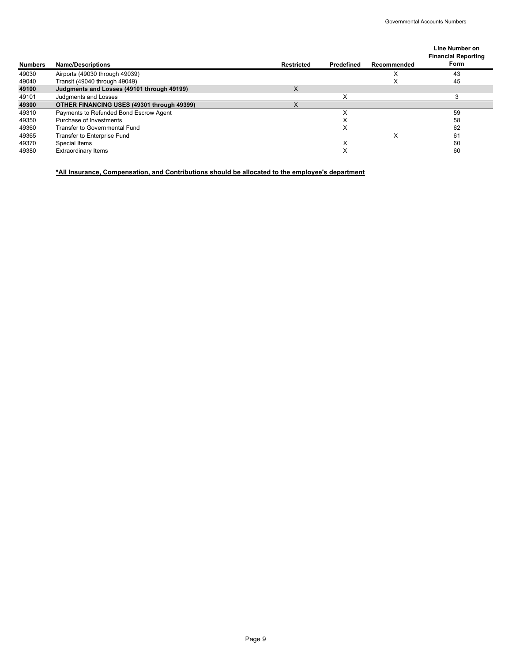|                |                                                   |                   |            |             | Line Number on<br><b>Financial Reporting</b> |
|----------------|---------------------------------------------------|-------------------|------------|-------------|----------------------------------------------|
| <b>Numbers</b> | <b>Name/Descriptions</b>                          | <b>Restricted</b> | Predefined | Recommended | Form                                         |
| 49030          | Airports (49030 through 49039)                    |                   |            |             | 43                                           |
| 49040          | Transit (49040 through 49049)                     |                   |            |             | 45                                           |
| 49100          | Judgments and Losses (49101 through 49199)        | X                 |            |             |                                              |
| 49101          | <b>Judaments and Losses</b>                       |                   | ᄉ          |             |                                              |
| 49300          | <b>OTHER FINANCING USES (49301 through 49399)</b> |                   |            |             |                                              |
| 49310          | Payments to Refunded Bond Escrow Agent            |                   |            |             | 59                                           |
| 49350          | Purchase of Investments                           |                   | х          |             | 58                                           |
| 49360          | <b>Transfer to Governmental Fund</b>              |                   | х          |             | 62                                           |
| 49365          | Transfer to Enterprise Fund                       |                   |            | x           | 61                                           |
| 49370          | Special Items                                     |                   | х          |             | 60                                           |
| 49380          | <b>Extraordinary Items</b>                        |                   | х          |             | 60                                           |

**\*All Insurance, Compensation, and Contributions should be allocated to the employee's department**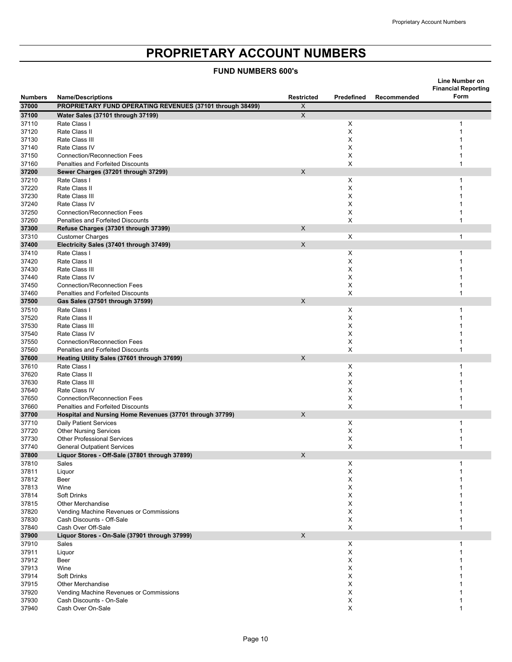# **PROPRIETARY ACCOUNT NUMBERS**

#### **FUND NUMBERS 600's**

|                |                                                                     |                   |            |             | Line Number on<br><b>Financial Reporting</b> |
|----------------|---------------------------------------------------------------------|-------------------|------------|-------------|----------------------------------------------|
| <b>Numbers</b> | <b>Name/Descriptions</b>                                            | <b>Restricted</b> | Predefined | Recommended | Form                                         |
| 37000          | PROPRIETARY FUND OPERATING REVENUES (37101 through 38499)           | X                 |            |             |                                              |
| 37100          | Water Sales (37101 through 37199)                                   | $\overline{X}$    |            |             |                                              |
| 37110          | Rate Class I                                                        |                   | X          |             | 1                                            |
| 37120          | Rate Class II                                                       |                   | X          |             | 1<br>1                                       |
| 37130<br>37140 | Rate Class III<br>Rate Class IV                                     |                   | X<br>X     |             | 1                                            |
| 37150          | <b>Connection/Reconnection Fees</b>                                 |                   | X          |             | 1                                            |
| 37160          | Penalties and Forfeited Discounts                                   |                   | X          |             | 1                                            |
| 37200          | Sewer Charges (37201 through 37299)                                 | X                 |            |             |                                              |
| 37210          | Rate Class I                                                        |                   | X          |             | 1                                            |
| 37220          | Rate Class II                                                       |                   | X          |             | 1                                            |
| 37230          | Rate Class III                                                      |                   | X          |             | 1                                            |
| 37240          | Rate Class IV                                                       |                   | X          |             | $\mathbf{1}$                                 |
| 37250          | <b>Connection/Reconnection Fees</b>                                 |                   | X          |             | $\mathbf{1}$                                 |
| 37260          | Penalties and Forfeited Discounts                                   |                   | X          |             | 1                                            |
| 37300          | Refuse Charges (37301 through 37399)                                | X                 |            |             |                                              |
| 37310          | <b>Customer Charges</b>                                             | $\mathsf{X}$      | X          |             | $\mathbf{1}$                                 |
| 37400          | Electricity Sales (37401 through 37499)                             |                   |            |             |                                              |
| 37410<br>37420 | Rate Class I<br>Rate Class II                                       |                   | X<br>X     |             | 1<br>1                                       |
| 37430          | Rate Class III                                                      |                   | X          |             | 1                                            |
| 37440          | Rate Class IV                                                       |                   | X          |             | $\mathbf{1}$                                 |
| 37450          | <b>Connection/Reconnection Fees</b>                                 |                   | Х          |             | $\mathbf{1}$                                 |
| 37460          | Penalties and Forfeited Discounts                                   |                   | X          |             | 1                                            |
| 37500          | Gas Sales (37501 through 37599)                                     | X                 |            |             |                                              |
| 37510          | Rate Class I                                                        |                   | X          |             | 1                                            |
| 37520          | Rate Class II                                                       |                   | X          |             | 1                                            |
| 37530          | Rate Class III                                                      |                   | X          |             | 1                                            |
| 37540          | Rate Class IV                                                       |                   | X          |             | 1                                            |
| 37550          | <b>Connection/Reconnection Fees</b>                                 |                   | X          |             | $\mathbf{1}$                                 |
| 37560          | Penalties and Forfeited Discounts                                   |                   | X          |             | 1                                            |
| 37600          | Heating Utility Sales (37601 through 37699)                         | X                 |            |             |                                              |
| 37610          | Rate Class I<br>Rate Class II                                       |                   | Χ          |             | 1<br>1                                       |
| 37620<br>37630 | Rate Class III                                                      |                   | X<br>X     |             | 1                                            |
| 37640          | Rate Class IV                                                       |                   | X          |             | $\mathbf{1}$                                 |
| 37650          | <b>Connection/Reconnection Fees</b>                                 |                   | X          |             | 1                                            |
| 37660          | Penalties and Forfeited Discounts                                   |                   | X          |             | 1                                            |
| 37700          | Hospital and Nursing Home Revenues (37701 through 37799)            | $\mathsf{X}$      |            |             |                                              |
| 37710          | <b>Daily Patient Services</b>                                       |                   | X          |             | 1                                            |
| 37720          | <b>Other Nursing Services</b>                                       |                   | X          |             | 1                                            |
| 37730          | <b>Other Professional Services</b>                                  |                   | X          |             | 1                                            |
| 37740          | <b>General Outpatient Services</b>                                  |                   | X          |             | $\mathbf{1}$                                 |
| 37800          | Liquor Stores - Off-Sale (37801 through 37899)                      | X                 |            |             |                                              |
| 37810          | Sales                                                               |                   | х          |             | 1                                            |
| 37811          | Liquor                                                              |                   | X          |             | 1                                            |
| 37812<br>37813 | Beer<br>Wine                                                        |                   | X          |             | 1<br>1                                       |
| 37814          | <b>Soft Drinks</b>                                                  |                   | X<br>X     |             | 1                                            |
| 37815          | <b>Other Merchandise</b>                                            |                   | X          |             | 1                                            |
| 37820          | Vending Machine Revenues or Commissions                             |                   | X          |             | 1                                            |
| 37830          | Cash Discounts - Off-Sale                                           |                   | X          |             | 1                                            |
| 37840          | Cash Over Off-Sale                                                  |                   | X          |             | 1                                            |
| 37900          | Liquor Stores - On-Sale (37901 through 37999)                       | $\mathsf X$       |            |             |                                              |
| 37910          | Sales                                                               |                   | X          |             | 1                                            |
| 37911          | Liquor                                                              |                   | X          |             | 1                                            |
| 37912          | Beer                                                                |                   | X          |             | 1                                            |
| 37913          | Wine                                                                |                   | X          |             | 1                                            |
| 37914          | <b>Soft Drinks</b>                                                  |                   | X          |             | 1                                            |
| 37915          | <b>Other Merchandise</b>                                            |                   | X          |             | 1                                            |
| 37920<br>37930 | Vending Machine Revenues or Commissions<br>Cash Discounts - On-Sale |                   | X          |             | 1<br>1                                       |
| 37940          | Cash Over On-Sale                                                   |                   | X<br>X     |             | 1                                            |
|                |                                                                     |                   |            |             |                                              |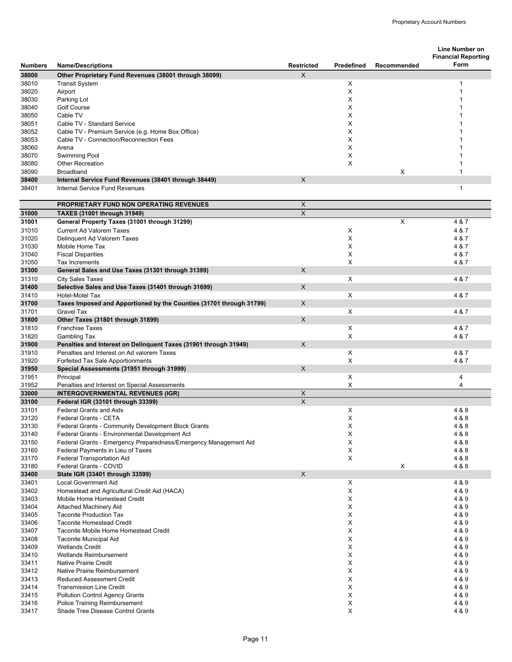|                         |                                                                                                       |                        |                   |             | Line Number on                     |
|-------------------------|-------------------------------------------------------------------------------------------------------|------------------------|-------------------|-------------|------------------------------------|
|                         |                                                                                                       |                        | <b>Predefined</b> |             | <b>Financial Reporting</b><br>Form |
| <b>Numbers</b><br>38000 | <b>Name/Descriptions</b><br>Other Proprietary Fund Revenues (38001 through 38099)                     | <b>Restricted</b><br>X |                   | Recommended |                                    |
| 38010                   | <b>Transit System</b>                                                                                 |                        | х                 |             |                                    |
| 38020                   | Airport                                                                                               |                        | X                 |             | 1                                  |
| 38030                   | Parking Lot                                                                                           |                        | X                 |             |                                    |
| 38040                   | <b>Golf Course</b>                                                                                    |                        | X                 |             |                                    |
| 38050                   | Cable TV                                                                                              |                        | X                 |             |                                    |
| 38051                   | Cable TV - Standard Service                                                                           |                        | X                 |             |                                    |
| 38052                   | Cable TV - Premium Service (e.g. Home Box Office)                                                     |                        | X<br>X            |             |                                    |
| 38053<br>38060          | Cable TV - Connection/Reconnection Fees<br>Arena                                                      |                        | X                 |             |                                    |
| 38070                   | Swimming Pool                                                                                         |                        | X                 |             |                                    |
| 38080                   | <b>Other Recreation</b>                                                                               |                        | X                 |             |                                    |
| 38090                   | <b>Broadband</b>                                                                                      |                        |                   | X           | 1                                  |
| 38400                   | Internal Service Fund Revenues (38401 through 38449)                                                  | X                      |                   |             |                                    |
| 38401                   | Internal Service Fund Revenues                                                                        |                        |                   |             | 1                                  |
|                         | <b>PROPRIETARY FUND NON OPERATING REVENUES</b>                                                        | X                      |                   |             |                                    |
| 31000                   | <b>TAXES (31001 through 31949)</b>                                                                    | $\overline{X}$         |                   |             |                                    |
| 31001                   | General Property Taxes (31001 through 31299)                                                          |                        |                   | X           | 4 & 7                              |
| 31010                   | <b>Current Ad Valorem Taxes</b>                                                                       |                        | X                 |             | 4 & 7                              |
| 31020                   | Delinquent Ad Valorem Taxes                                                                           |                        | X                 |             | 4 & 7                              |
| 31030                   | Mobile Home Tax                                                                                       |                        | X                 |             | 4 & 7                              |
| 31040                   | <b>Fiscal Disparities</b>                                                                             |                        | X                 |             | 4 & 7                              |
| 31050<br>31300          | Tax Increments<br>General Sales and Use Taxes (31301 through 31399)                                   | X                      | X                 |             | 4 & 7                              |
| 31310                   | <b>City Sales Taxes</b>                                                                               |                        | X                 |             | 4 & 7                              |
| 31400                   | Selective Sales and Use Taxes (31401 through 31699)                                                   | X                      |                   |             |                                    |
| 31410                   | Hotel-Motel Tax                                                                                       |                        | X                 |             | 4 & 7                              |
| 31700                   | Taxes Imposed and Apportioned by the Counties (31701 through 31799)                                   | $\mathsf{X}$           |                   |             |                                    |
| 31701                   | <b>Gravel Tax</b>                                                                                     |                        | X                 |             | 4 & 7                              |
| 31800                   | Other Taxes (31801 through 31899)                                                                     | X                      |                   |             |                                    |
| 31810                   | <b>Franchise Taxes</b>                                                                                |                        | X                 |             | 4 & 7                              |
| 31820                   | <b>Gambling Tax</b>                                                                                   |                        | X                 |             | 4 & 7                              |
| 31900                   | Penalties and Interest on Delinquent Taxes (31901 through 31949)                                      | X                      |                   |             |                                    |
| 31910<br>31920          | Penalties and Interest on Ad valorem Taxes<br>Forfeited Tax Sale Apportionments                       |                        | X<br>X            |             | 4 & 7<br>4 & 7                     |
| 31950                   | Special Assessments (31951 through 31999)                                                             | X                      |                   |             |                                    |
| 31951                   | Principal                                                                                             |                        | X                 |             | 4                                  |
| 31952                   | Penalties and Interest on Special Assessments                                                         |                        | X                 |             | 4                                  |
| 33000                   | <b>INTERGOVERNMENTAL REVENUES (IGR)</b>                                                               | X                      |                   |             |                                    |
| 33100                   | Federal IGR (33101 through 33399)                                                                     | X                      |                   |             |                                    |
| 33101                   | <b>Federal Grants and Aids</b>                                                                        |                        | Χ                 |             | 4 & 8                              |
| 33120                   | Federal Grants - CETA                                                                                 |                        | X                 |             | 4 & 8                              |
| 33130                   | Federal Grants - Community Development Block Grants<br>Federal Grants - Environmental Development Act |                        | X                 |             | 4 & 8                              |
| 33140<br>33150          | Federal Grants - Emergency Preparedness/Emergency Management Aid                                      |                        | X<br>X            |             | 4 & 8<br>4 & 8                     |
| 33160                   | Federal Payments in Lieu of Taxes                                                                     |                        | X                 |             | 4 & 8                              |
| 33170                   | Federal Transportation Aid                                                                            |                        | X                 |             | 4 & 8                              |
| 33180                   | Federal Grants - COVID                                                                                |                        |                   | X           | 4 & 8                              |
| 33400                   | State IGR (33401 through 33599)                                                                       | X                      |                   |             |                                    |
| 33401                   | <b>Local Government Aid</b>                                                                           |                        | X                 |             | 4 & 9                              |
| 33402                   | Homestead and Agricultural Credit Aid (HACA)                                                          |                        | X                 |             | 4 & 9                              |
| 33403                   | Mobile Home Homestead Credit                                                                          |                        | х                 |             | 4 & 9                              |
| 33404                   | <b>Attached Machinery Aid</b>                                                                         |                        | X                 |             | 4 & 9                              |
| 33405<br>33406          | <b>Taconite Production Tax</b><br><b>Taconite Homestead Credit</b>                                    |                        | X<br>X            |             | 4 & 9<br>4 & 9                     |
| 33407                   | Taconite Mobile Home Homestead Credit                                                                 |                        | X                 |             | 4 & 9                              |
| 33408                   | Taconite Municipal Aid                                                                                |                        | х                 |             | 4 & 9                              |
| 33409                   | <b>Wetlands Credit</b>                                                                                |                        | X                 |             | 4 & 9                              |
| 33410                   | Wetlands Reimbursement                                                                                |                        | X                 |             | 4 & 9                              |
| 33411                   | <b>Native Prairie Credit</b>                                                                          |                        | X                 |             | 4 & 9                              |
| 33412                   | Native Prairie Reimbursement                                                                          |                        | X                 |             | 4 & 9                              |
| 33413                   | <b>Reduced Assessment Credit</b>                                                                      |                        | х                 |             | 4 & 9                              |
| 33414                   | <b>Transmission Line Credit</b>                                                                       |                        | X                 |             | 4 & 9                              |
| 33415<br>33416          | <b>Pollution Control Agency Grants</b><br><b>Police Training Reimbursement</b>                        |                        | X<br>X            |             | 4 & 9<br>4 & 9                     |
| 33417                   | Shade Tree Disease Control Grants                                                                     |                        | X                 |             | 4 & 9                              |
|                         |                                                                                                       |                        |                   |             |                                    |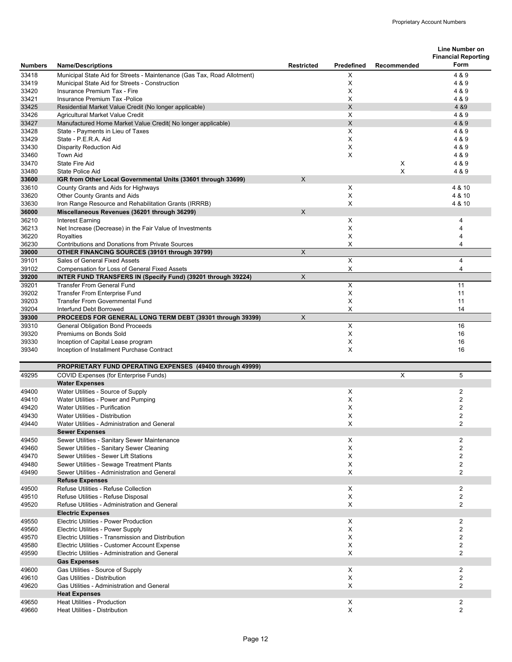|                         |                                                                                                      |                           |                |             | <b>Line Number on</b>              |
|-------------------------|------------------------------------------------------------------------------------------------------|---------------------------|----------------|-------------|------------------------------------|
|                         |                                                                                                      |                           | Predefined     |             | <b>Financial Reporting</b><br>Form |
| <b>Numbers</b><br>33418 | <b>Name/Descriptions</b><br>Municipal State Aid for Streets - Maintenance (Gas Tax, Road Allotment)  | <b>Restricted</b>         | X              | Recommended | 4 & 9                              |
| 33419                   | Municipal State Aid for Streets - Construction                                                       |                           | X              |             | 4 & 9                              |
| 33420                   | Insurance Premium Tax - Fire                                                                         |                           | X              |             | 4 & 9                              |
| 33421                   | Insurance Premium Tax - Police                                                                       |                           | X              |             | 4 & 9                              |
| 33425                   | Residential Market Value Credit (No longer applicable)                                               |                           | $\mathsf{X}$   |             | 4 & 9                              |
| 33426                   | Agricultural Market Value Credit                                                                     |                           | Χ              |             | 4 & 9                              |
| 33427                   | Manufactured Home Market Value Credit( No longer applicable)                                         |                           | $\mathsf{X}$   |             | 4 & 9                              |
| 33428                   | State - Payments in Lieu of Taxes                                                                    |                           | X              |             | 4 & 9                              |
| 33429                   | State - P.E.R.A. Aid                                                                                 |                           | X              |             | 4 & 9                              |
| 33430                   | <b>Disparity Reduction Aid</b>                                                                       |                           | X              |             | 4 & 9                              |
| 33460                   | Town Aid                                                                                             |                           | X              |             | 4 & 9                              |
| 33470                   | State Fire Aid                                                                                       |                           |                | X<br>X      | 4 & 9                              |
| 33480<br>33600          | <b>State Police Aid</b><br>IGR from Other Local Governmental Units (33601 through 33699)             | $\mathsf{X}$              |                |             | 4 & 9                              |
| 33610                   | County Grants and Aids for Highways                                                                  |                           | X              |             | 4 & 10                             |
| 33620                   | Other County Grants and Aids                                                                         |                           | X              |             | 4 & 10                             |
| 33630                   | Iron Range Resource and Rehabilitation Grants (IRRRB)                                                |                           | X              |             | 4 & 10                             |
| 36000                   | Miscellaneous Revenues (36201 through 36299)                                                         | X                         |                |             |                                    |
| 36210                   | <b>Interest Earning</b>                                                                              |                           | X              |             | 4                                  |
| 36213                   | Net Increase (Decrease) in the Fair Value of Investments                                             |                           | X              |             | 4                                  |
| 36220                   | Royalties                                                                                            |                           | X              |             | 4                                  |
| 36230                   | <b>Contributions and Donations from Private Sources</b>                                              |                           | X              |             | 4                                  |
| 39000                   | OTHER FINANCING SOURCES (39101 through 39799)                                                        | $\boldsymbol{\mathsf{X}}$ |                |             |                                    |
| 39101                   | Sales of General Fixed Assets                                                                        |                           | $\pmb{\times}$ |             | 4                                  |
| 39102                   | <b>Compensation for Loss of General Fixed Assets</b>                                                 |                           | $\mathsf X$    |             | 4                                  |
| 39200                   | INTER FUND TRANSFERS IN (Specify Fund) (39201 through 39224)                                         | X                         |                |             |                                    |
| 39201                   | <b>Transfer From General Fund</b>                                                                    |                           | $\pmb{\times}$ |             | 11                                 |
| 39202                   | Transfer From Enterprise Fund                                                                        |                           | X              |             | 11                                 |
| 39203                   | <b>Transfer From Governmental Fund</b>                                                               |                           | X              |             | 11                                 |
| 39204<br>39300          | Interfund Debt Borrowed                                                                              | X                         | X              |             | 14                                 |
| 39310                   | PROCEEDS FOR GENERAL LONG TERM DEBT (39301 through 39399)<br><b>General Obligation Bond Proceeds</b> |                           | $\pmb{\times}$ |             | 16                                 |
| 39320                   | Premiums on Bonds Sold                                                                               |                           | X              |             | 16                                 |
| 39330                   | Inception of Capital Lease program                                                                   |                           | X              |             | 16                                 |
| 39340                   | Inception of Installment Purchase Contract                                                           |                           | X              |             | 16                                 |
|                         |                                                                                                      |                           |                |             |                                    |
|                         | PROPRIETARY FUND OPERATING EXPENSES (49400 through 49999)                                            |                           |                |             |                                    |
| 49295                   | <b>COVID Expenses (for Enterprise Funds)</b>                                                         |                           |                | X           | 5                                  |
|                         | <b>Water Expenses</b>                                                                                |                           |                |             |                                    |
| 49400<br>49410          | Water Utilities - Source of Supply<br>Water Utilities - Power and Pumping                            |                           | Χ<br>X         |             | $\overline{2}$<br>2                |
| 49420                   | Water Utilities - Purification                                                                       |                           | х              |             | $\overline{\mathbf{c}}$            |
| 49430                   | Water Utilities - Distribution                                                                       |                           | Χ              |             | $\overline{2}$                     |
| 49440                   | Water Utilities - Administration and General                                                         |                           | X              |             | $\overline{2}$                     |
|                         | <b>Sewer Expenses</b>                                                                                |                           |                |             |                                    |
| 49450                   | Sewer Utilities - Sanitary Sewer Maintenance                                                         |                           | X              |             | 2                                  |
| 49460                   | Sewer Utilities - Sanitary Sewer Cleaning                                                            |                           | Χ              |             | 2                                  |
| 49470                   | Sewer Utilities - Sewer Lift Stations                                                                |                           | X              |             | $\overline{c}$                     |
| 49480                   | Sewer Utilities - Sewage Treatment Plants                                                            |                           | Х              |             | 2                                  |
| 49490                   | Sewer Utilities - Administration and General                                                         |                           | X              |             | $\overline{2}$                     |
|                         | <b>Refuse Expenses</b>                                                                               |                           |                |             |                                    |
| 49500                   | Refuse Utilities - Refuse Collection                                                                 |                           | X              |             | $\overline{2}$                     |
| 49510                   | Refuse Utilities - Refuse Disposal                                                                   |                           | X              |             | 2                                  |
| 49520                   | Refuse Utilities - Administration and General                                                        |                           | $\pmb{\times}$ |             | $\overline{2}$                     |
|                         | <b>Electric Expenses</b><br>Electric Utilities - Power Production                                    |                           |                |             |                                    |
| 49550                   |                                                                                                      |                           | Х              |             | $\overline{2}$                     |
| 49560<br>49570          | Electric Utilities - Power Supply<br>Electric Utilities - Transmission and Distribution              |                           | X<br>X         |             | 2<br>$\overline{2}$                |
| 49580                   | Electric Utilities - Customer Account Expense                                                        |                           | X              |             | $\overline{2}$                     |
| 49590                   | Electric Utilities - Administration and General                                                      |                           | X              |             | 2                                  |
|                         | <b>Gas Expenses</b>                                                                                  |                           |                |             |                                    |
| 49600                   | Gas Utilities - Source of Supply                                                                     |                           | X              |             | 2                                  |
| 49610                   | Gas Utilities - Distribution                                                                         |                           | X              |             | 2                                  |
| 49620                   | Gas Utilities - Administration and General                                                           |                           | X              |             | $\overline{2}$                     |
|                         | <b>Heat Expenses</b>                                                                                 |                           |                |             |                                    |
| 49650                   | <b>Heat Utilities - Production</b>                                                                   |                           | X              |             | 2                                  |
| 49660                   | <b>Heat Utilities - Distribution</b>                                                                 |                           | X              |             | $\overline{2}$                     |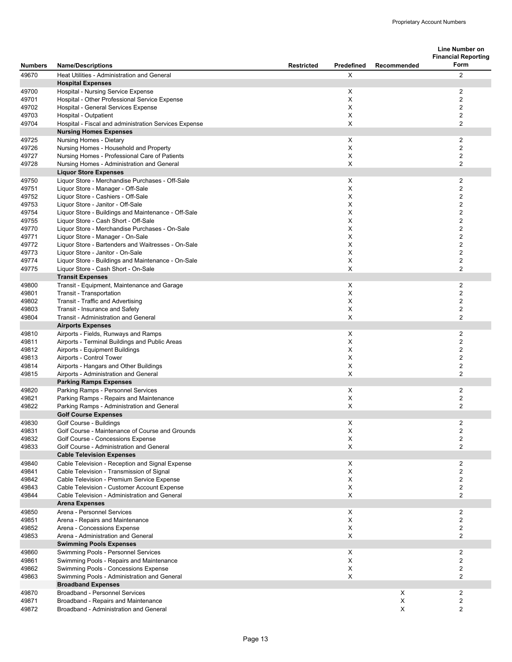|                |                                                                                           |                   |            |             | <b>Line Number on</b>              |
|----------------|-------------------------------------------------------------------------------------------|-------------------|------------|-------------|------------------------------------|
| <b>Numbers</b> | <b>Name/Descriptions</b>                                                                  | <b>Restricted</b> | Predefined | Recommended | <b>Financial Reporting</b><br>Form |
| 49670          | Heat Utilities - Administration and General                                               |                   | X          |             | 2                                  |
|                | <b>Hospital Expenses</b>                                                                  |                   |            |             |                                    |
| 49700          | Hospital - Nursing Service Expense                                                        |                   | X          |             | $\overline{2}$                     |
| 49701          | Hospital - Other Professional Service Expense                                             |                   | X          |             | $\overline{2}$                     |
| 49702          | Hospital - General Services Expense                                                       |                   | Х<br>X     |             | 2<br>$\overline{2}$                |
| 49703<br>49704 | Hospital - Outpatient<br>Hospital - Fiscal and administration Services Expense            |                   | X          |             | $\overline{2}$                     |
|                | <b>Nursing Homes Expenses</b>                                                             |                   |            |             |                                    |
| 49725          | Nursing Homes - Dietary                                                                   |                   | X          |             | $\overline{2}$                     |
| 49726          | Nursing Homes - Household and Property                                                    |                   | X          |             | 2                                  |
| 49727          | Nursing Homes - Professional Care of Patients                                             |                   | X          |             | $\overline{2}$                     |
| 49728          | Nursing Homes - Administration and General                                                |                   | X          |             | $\overline{2}$                     |
|                | <b>Liquor Store Expenses</b>                                                              |                   |            |             |                                    |
| 49750          | Liquor Store - Merchandise Purchases - Off-Sale                                           |                   | X          |             | $\overline{2}$                     |
| 49751          | Liquor Store - Manager - Off-Sale                                                         |                   | X          |             | $\overline{c}$                     |
| 49752          | Liquor Store - Cashiers - Off-Sale                                                        |                   | X          |             | $\overline{2}$                     |
| 49753          | Liquor Store - Janitor - Off-Sale                                                         |                   | X          |             | $\overline{c}$                     |
| 49754          | Liquor Store - Buildings and Maintenance - Off-Sale                                       |                   | Χ          |             | $\overline{2}$                     |
| 49755          | Liquor Store - Cash Short - Off-Sale                                                      |                   | X          |             | $\overline{c}$                     |
| 49770          | Liquor Store - Merchandise Purchases - On-Sale                                            |                   | X          |             | $\overline{2}$                     |
| 49771          | Liquor Store - Manager - On-Sale                                                          |                   | X          |             | $\overline{2}$                     |
| 49772          | Liquor Store - Bartenders and Waitresses - On-Sale                                        |                   | X          |             | $\sqrt{2}$                         |
| 49773          | Liquor Store - Janitor - On-Sale                                                          |                   | X          |             | $\overline{2}$                     |
| 49774          | Liquor Store - Buildings and Maintenance - On-Sale                                        |                   | X          |             | $\overline{2}$                     |
| 49775          | Liquor Store - Cash Short - On-Sale                                                       |                   | X          |             | $\overline{2}$                     |
|                | <b>Transit Expenses</b>                                                                   |                   |            |             |                                    |
| 49800          | Transit - Equipment, Maintenance and Garage                                               |                   | X          |             | $\overline{2}$                     |
| 49801<br>49802 | Transit - Transportation<br>Transit - Traffic and Advertising                             |                   | X<br>X     |             | 2<br>$\overline{2}$                |
| 49803          | Transit - Insurance and Safety                                                            |                   | X          |             | $\overline{2}$                     |
| 49804          | Transit - Administration and General                                                      |                   | X          |             | $\overline{2}$                     |
|                | <b>Airports Expenses</b>                                                                  |                   |            |             |                                    |
| 49810          | Airports - Fields, Runways and Ramps                                                      |                   | X          |             | $\overline{2}$                     |
| 49811          | Airports - Terminal Buildings and Public Areas                                            |                   | X          |             | 2                                  |
| 49812          | Airports - Equipment Buildings                                                            |                   | X          |             | $\overline{2}$                     |
| 49813          | Airports - Control Tower                                                                  |                   | X          |             | $\overline{\mathbf{c}}$            |
| 49814          | Airports - Hangars and Other Buildings                                                    |                   | Х          |             | $\overline{2}$                     |
| 49815          | Airports - Administration and General                                                     |                   | X          |             | $\overline{2}$                     |
|                | <b>Parking Ramps Expenses</b>                                                             |                   |            |             |                                    |
| 49820          | Parking Ramps - Personnel Services                                                        |                   | X          |             | $\overline{2}$                     |
| 49821          | Parking Ramps - Repairs and Maintenance                                                   |                   | X          |             | $\overline{2}$                     |
| 49822          | Parking Ramps - Administration and General                                                |                   | X          |             | $\overline{2}$                     |
|                | <b>Golf Course Expenses</b>                                                               |                   |            |             |                                    |
| 49830          | Golf Course - Buildings                                                                   |                   | х          |             | $\sqrt{2}$                         |
| 49831          | Golf Course - Maintenance of Course and Grounds                                           |                   | X          |             | $\overline{2}$                     |
| 49832          | Golf Course - Concessions Expense                                                         |                   | X          |             | $\overline{2}$                     |
| 49833          | Golf Course - Administration and General                                                  |                   | X          |             | 2                                  |
|                | <b>Cable Television Expenses</b>                                                          |                   |            |             |                                    |
| 49840          | Cable Television - Reception and Signal Expense                                           |                   | X          |             | $\overline{2}$                     |
| 49841          | Cable Television - Transmission of Signal                                                 |                   | X          |             | $\overline{2}$                     |
| 49842<br>49843 | Cable Television - Premium Service Expense<br>Cable Television - Customer Account Expense |                   | Χ<br>х     |             | 2<br>2                             |
| 49844          | Cable Television - Administration and General                                             |                   | X          |             | $\overline{c}$                     |
|                | <b>Arena Expenses</b>                                                                     |                   |            |             |                                    |
| 49850          | Arena - Personnel Services                                                                |                   | X          |             | $\overline{2}$                     |
| 49851          | Arena - Repairs and Maintenance                                                           |                   | X          |             | 2                                  |
| 49852          | Arena - Concessions Expense                                                               |                   | X          |             | $\overline{2}$                     |
| 49853          | Arena - Administration and General                                                        |                   | X          |             | 2                                  |
|                | <b>Swimming Pools Expenses</b>                                                            |                   |            |             |                                    |
| 49860          | Swimming Pools - Personnel Services                                                       |                   | X          |             | $\overline{c}$                     |
| 49861          | Swimming Pools - Repairs and Maintenance                                                  |                   | X          |             | 2                                  |
| 49862          | Swimming Pools - Concessions Expense                                                      |                   | х          |             | 2                                  |
| 49863          | Swimming Pools - Administration and General                                               |                   | х          |             | 2                                  |
|                | <b>Broadband Expenses</b>                                                                 |                   |            |             |                                    |
| 49870          | <b>Broadband - Personnel Services</b>                                                     |                   |            | Х           | $\overline{2}$                     |
| 49871          | Broadband - Repairs and Maintenance                                                       |                   |            | X           | $\overline{2}$                     |
| 49872          | Broadband - Administration and General                                                    |                   |            | X           | 2                                  |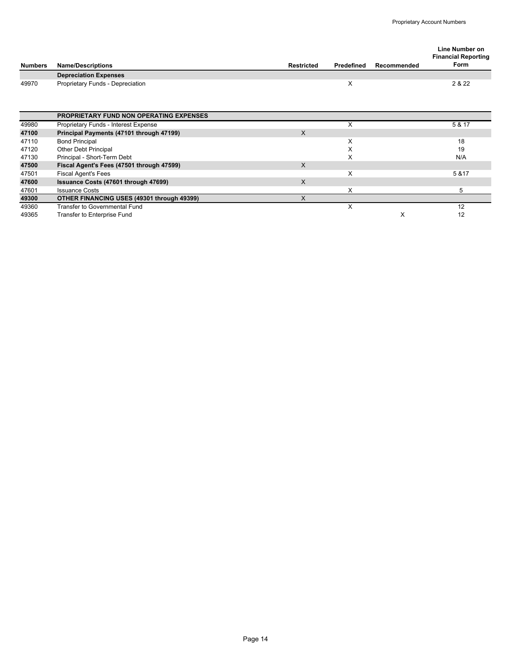|                |                                                |              |            |             | Line Number on<br><b>Financial Reporting</b> |
|----------------|------------------------------------------------|--------------|------------|-------------|----------------------------------------------|
| <b>Numbers</b> | <b>Name/Descriptions</b>                       | Restricted   | Predefined | Recommended | Form                                         |
|                | <b>Depreciation Expenses</b>                   |              |            |             |                                              |
| 49970          | Proprietary Funds - Depreciation               |              | Х          |             | 2 & 22                                       |
|                |                                                |              |            |             |                                              |
|                |                                                |              |            |             |                                              |
|                | <b>PROPRIETARY FUND NON OPERATING EXPENSES</b> |              |            |             |                                              |
| 49980          | Proprietary Funds - Interest Expense           |              | X          |             | 5 & 17                                       |
| 47100          | Principal Payments (47101 through 47199)       | X            |            |             |                                              |
| 47110          | <b>Bond Principal</b>                          |              | X          |             | 18                                           |
| 47120          | Other Debt Principal                           |              | X          |             | 19                                           |
| 47130          | Principal - Short-Term Debt                    |              | X          |             | N/A                                          |
| 47500          | Fiscal Agent's Fees (47501 through 47599)      | X            |            |             |                                              |
| 47501          | <b>Fiscal Agent's Fees</b>                     |              | X          |             | 5 & 17                                       |
| 47600          | Issuance Costs (47601 through 47699)           | $\mathsf{X}$ |            |             |                                              |
| 47601          | <b>Issuance Costs</b>                          |              | X          |             | 5                                            |
| 49300          | OTHER FINANCING USES (49301 through 49399)     | X            |            |             |                                              |
| 49360          | Transfer to Governmental Fund                  |              | X          |             | 12                                           |
| 49365          | Transfer to Enterprise Fund                    |              |            | X           | 12                                           |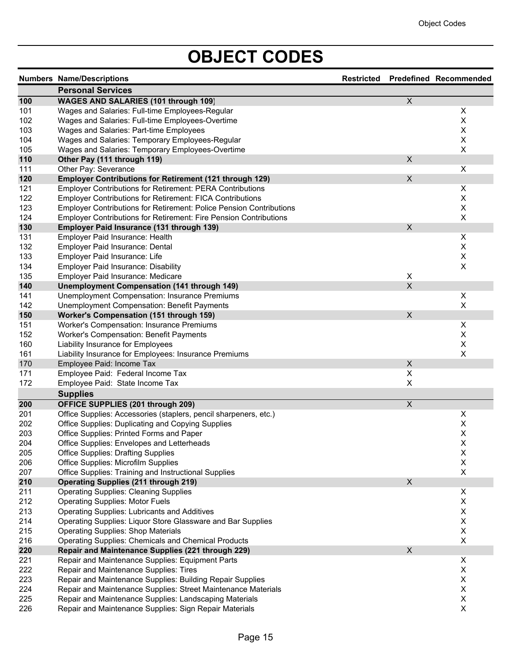# **OBJECT CODES**

|     | <b>Numbers Name/Descriptions</b>                                           |                         | Restricted Predefined Recommended |
|-----|----------------------------------------------------------------------------|-------------------------|-----------------------------------|
|     | <b>Personal Services</b>                                                   |                         |                                   |
| 100 | WAGES AND SALARIES (101 through 109)                                       | $\overline{\mathsf{x}}$ |                                   |
| 101 | Wages and Salaries: Full-time Employees-Regular                            |                         | X                                 |
| 102 | Wages and Salaries: Full-time Employees-Overtime                           |                         | X                                 |
| 103 | Wages and Salaries: Part-time Employees                                    |                         | $\pmb{\mathsf{X}}$                |
| 104 | Wages and Salaries: Temporary Employees-Regular                            |                         | X                                 |
| 105 | Wages and Salaries: Temporary Employees-Overtime                           |                         | X                                 |
| 110 | Other Pay (111 through 119)                                                | $\pmb{\times}$          |                                   |
| 111 | Other Pay: Severance                                                       |                         | X                                 |
| 120 | <b>Employer Contributions for Retirement (121 through 129)</b>             | $\mathsf{X}$            |                                   |
| 121 | <b>Employer Contributions for Retirement: PERA Contributions</b>           |                         | X                                 |
| 122 | <b>Employer Contributions for Retirement: FICA Contributions</b>           |                         | Χ                                 |
| 123 | <b>Employer Contributions for Retirement: Police Pension Contributions</b> |                         | X                                 |
| 124 | Employer Contributions for Retirement: Fire Pension Contributions          |                         | X                                 |
| 130 | Employer Paid Insurance (131 through 139)                                  | X                       |                                   |
| 131 | Employer Paid Insurance: Health                                            |                         | X                                 |
| 132 | Employer Paid Insurance: Dental                                            |                         | X                                 |
| 133 | Employer Paid Insurance: Life                                              |                         | $\pmb{\mathsf{X}}$                |
| 134 | <b>Employer Paid Insurance: Disability</b>                                 |                         | $\pmb{\times}$                    |
| 135 | Employer Paid Insurance: Medicare                                          | X                       |                                   |
| 140 | <b>Unemployment Compensation (141 through 149)</b>                         | $\sf X$                 |                                   |
| 141 | Unemployment Compensation: Insurance Premiums                              |                         | X                                 |
| 142 | Unemployment Compensation: Benefit Payments                                |                         | X                                 |
| 150 | <b>Worker's Compensation (151 through 159)</b>                             | $\mathsf X$             |                                   |
| 151 | Worker's Compensation: Insurance Premiums                                  |                         | Χ                                 |
| 152 | <b>Worker's Compensation: Benefit Payments</b>                             |                         | X                                 |
| 160 | Liability Insurance for Employees                                          |                         | X                                 |
| 161 | Liability Insurance for Employees: Insurance Premiums                      |                         | X                                 |
| 170 | Employee Paid: Income Tax                                                  | X                       |                                   |
| 171 | Employee Paid: Federal Income Tax                                          | X                       |                                   |
| 172 | Employee Paid: State Income Tax                                            | X                       |                                   |
|     |                                                                            |                         |                                   |
|     | <b>Supplies</b>                                                            |                         |                                   |
| 200 | <b>OFFICE SUPPLIES (201 through 209)</b>                                   | $\overline{X}$          |                                   |
| 201 | Office Supplies: Accessories (staplers, pencil sharpeners, etc.)           |                         | X                                 |
| 202 | Office Supplies: Duplicating and Copying Supplies                          |                         | X                                 |
| 203 | Office Supplies: Printed Forms and Paper                                   |                         | $\sf X$                           |
| 204 | Office Supplies: Envelopes and Letterheads                                 |                         | Χ                                 |
| 205 | <b>Office Supplies: Drafting Supplies</b>                                  |                         | X                                 |
| 206 | Office Supplies: Microfilm Supplies                                        |                         | $\mathsf X$                       |
| 207 | Office Supplies: Training and Instructional Supplies                       |                         | X                                 |
| 210 | <b>Operating Supplies (211 through 219)</b>                                | X                       |                                   |
| 211 | <b>Operating Supplies: Cleaning Supplies</b>                               |                         | X                                 |
| 212 | <b>Operating Supplies: Motor Fuels</b>                                     |                         | $\mathsf X$                       |
| 213 | <b>Operating Supplies: Lubricants and Additives</b>                        |                         | $\mathsf X$                       |
| 214 | Operating Supplies: Liquor Store Glassware and Bar Supplies                |                         | $\mathsf X$                       |
| 215 | <b>Operating Supplies: Shop Materials</b>                                  |                         | $\mathsf X$                       |
| 216 | <b>Operating Supplies: Chemicals and Chemical Products</b>                 |                         | X                                 |
| 220 | Repair and Maintenance Supplies (221 through 229)                          | $\pmb{\times}$          |                                   |
| 221 | Repair and Maintenance Supplies: Equipment Parts                           |                         | X                                 |
| 222 | Repair and Maintenance Supplies: Tires                                     |                         | X                                 |
| 223 | Repair and Maintenance Supplies: Building Repair Supplies                  |                         | X                                 |
| 224 | Repair and Maintenance Supplies: Street Maintenance Materials              |                         | X                                 |
| 225 | Repair and Maintenance Supplies: Landscaping Materials                     |                         | $\mathsf X$                       |
| 226 | Repair and Maintenance Supplies: Sign Repair Materials                     |                         | X                                 |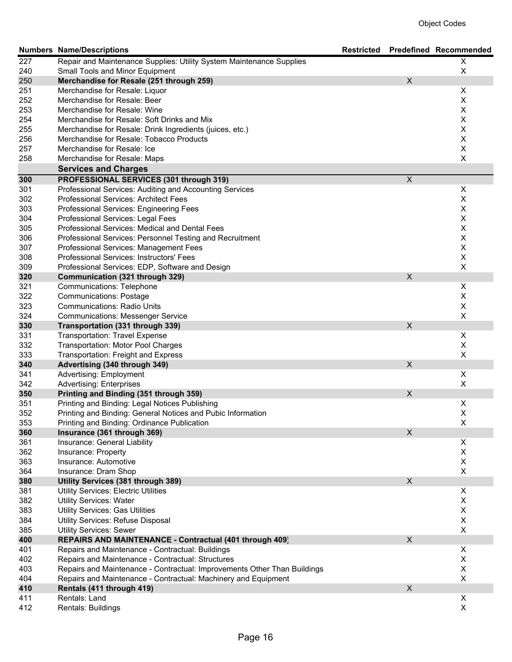|     | <b>Numbers Name/Descriptions</b>                                         | <b>Restricted</b> |                | <b>Predefined Recommended</b> |
|-----|--------------------------------------------------------------------------|-------------------|----------------|-------------------------------|
| 227 | Repair and Maintenance Supplies: Utility System Maintenance Supplies     |                   |                | X                             |
| 240 | Small Tools and Minor Equipment                                          |                   |                | $\mathsf X$                   |
| 250 | Merchandise for Resale (251 through 259)                                 |                   | X              |                               |
| 251 | Merchandise for Resale: Liquor                                           |                   |                | X                             |
| 252 | Merchandise for Resale: Beer                                             |                   |                | $\mathsf X$                   |
| 253 | Merchandise for Resale: Wine                                             |                   |                | $\mathsf X$                   |
| 254 | Merchandise for Resale: Soft Drinks and Mix                              |                   |                | $\mathsf X$                   |
| 255 | Merchandise for Resale: Drink Ingredients (juices, etc.)                 |                   |                | $\mathsf X$                   |
| 256 | Merchandise for Resale: Tobacco Products                                 |                   |                | $\mathsf X$                   |
| 257 | Merchandise for Resale: Ice                                              |                   |                | $\mathsf X$                   |
| 258 | Merchandise for Resale: Maps                                             |                   |                | $\pmb{\times}$                |
|     | <b>Services and Charges</b>                                              |                   |                |                               |
| 300 | PROFESSIONAL SERVICES (301 through 319)                                  |                   | $\overline{X}$ |                               |
| 301 | Professional Services: Auditing and Accounting Services                  |                   |                | X                             |
| 302 | Professional Services: Architect Fees                                    |                   |                | X                             |
| 303 | Professional Services: Engineering Fees                                  |                   |                | $\mathsf X$                   |
| 304 | Professional Services: Legal Fees                                        |                   |                | $\mathsf X$                   |
| 305 | Professional Services: Medical and Dental Fees                           |                   |                | $\mathsf X$                   |
| 306 | Professional Services: Personnel Testing and Recruitment                 |                   |                | $\mathsf X$                   |
| 307 | Professional Services: Management Fees                                   |                   |                | $\mathsf X$                   |
| 308 | Professional Services: Instructors' Fees                                 |                   |                | $\mathsf X$                   |
| 309 | Professional Services: EDP, Software and Design                          |                   |                | $\mathsf X$                   |
| 320 | Communication (321 through 329)                                          |                   | X              |                               |
| 321 | Communications: Telephone                                                |                   |                | X                             |
| 322 | <b>Communications: Postage</b>                                           |                   |                | X                             |
| 323 | <b>Communications: Radio Units</b>                                       |                   |                | $\pmb{\mathsf{X}}$            |
| 324 | <b>Communications: Messenger Service</b>                                 |                   |                | $\mathsf X$                   |
| 330 | Transportation (331 through 339)                                         |                   | $\pmb{\times}$ |                               |
| 331 | <b>Transportation: Travel Expense</b>                                    |                   |                | $\mathsf X$                   |
| 332 | <b>Transportation: Motor Pool Charges</b>                                |                   |                | $\pmb{\mathsf{X}}$            |
| 333 | Transportation: Freight and Express                                      |                   |                | $\pmb{\times}$                |
| 340 | Advertising (340 through 349)                                            |                   | X              |                               |
| 341 | <b>Advertising: Employment</b>                                           |                   |                | X                             |
| 342 | <b>Advertising: Enterprises</b>                                          |                   |                | X                             |
| 350 | Printing and Binding (351 through 359)                                   |                   | X              |                               |
| 351 | Printing and Binding: Legal Notices Publishing                           |                   |                | X                             |
| 352 | Printing and Binding: General Notices and Pubic Information              |                   |                | $\mathsf X$                   |
| 353 | Printing and Binding: Ordinance Publication                              |                   |                | X                             |
| 360 | Insurance (361 through 369)                                              |                   | X              |                               |
| 361 | Insurance: General Liability                                             |                   |                | X                             |
| 362 | Insurance: Property                                                      |                   |                | X                             |
| 363 | Insurance: Automotive                                                    |                   |                | $\pmb{\mathsf{X}}$            |
| 364 | Insurance: Dram Shop                                                     |                   |                | X                             |
| 380 | Utility Services (381 through 389)                                       |                   | X              |                               |
| 381 | <b>Utility Services: Electric Utilities</b>                              |                   |                | X                             |
| 382 | <b>Utility Services: Water</b>                                           |                   |                | $\mathsf X$                   |
| 383 | <b>Utility Services: Gas Utilities</b>                                   |                   |                | $\mathsf X$                   |
| 384 | Utility Services: Refuse Disposal                                        |                   |                | X                             |
| 385 | <b>Utility Services: Sewer</b>                                           |                   |                | X                             |
| 400 | REPAIRS AND MAINTENANCE - Contractual (401 through 409)                  |                   | X              |                               |
| 401 | Repairs and Maintenance - Contractual: Buildings                         |                   |                | X                             |
| 402 | Repairs and Maintenance - Contractual: Structures                        |                   |                | X                             |
| 403 | Repairs and Maintenance - Contractual: Improvements Other Than Buildings |                   |                | X                             |
| 404 | Repairs and Maintenance - Contractual: Machinery and Equipment           |                   |                | X                             |
| 410 | Rentals (411 through 419)                                                |                   | X              |                               |
| 411 | Rentals: Land                                                            |                   |                | X                             |
| 412 | Rentals: Buildings                                                       |                   |                | X                             |
|     |                                                                          |                   |                |                               |